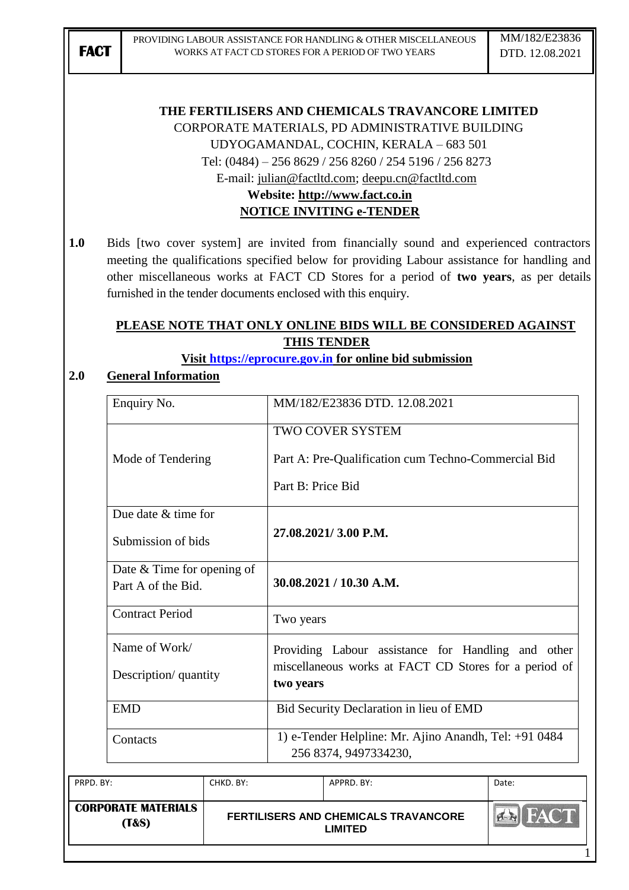### **THE FERTILISERS AND CHEMICALS TRAVANCORE LIMITED**

CORPORATE MATERIALS, PD ADMINISTRATIVE BUILDING

UDYOGAMANDAL, COCHIN, KERALA – 683 501

Tel: (0484) – 256 8629 / 256 8260 / 254 5196 / 256 8273

E-mail: [julian@factltd.com;](mailto:julian@factltd.com) [deepu.cn@factltd.com](mailto:deepu.cn@factltd.com)

## **Website: [http://www.fact.co.in](http://www.fact.co.in/) NOTICE INVITING e-TENDER**

**1.0** Bids [two cover system] are invited from financially sound and experienced contractors meeting the qualifications specified below for providing Labour assistance for handling and other miscellaneous works at FACT CD Stores for a period of **two years**, as per details furnished in the tender documents enclosed with this enquiry.

## **PLEASE NOTE THAT ONLY ONLINE BIDS WILL BE CONSIDERED AGAINST THIS TENDER**

**Visit [https://eprocure.gov.in](https://eprocure.gov.in/) for online bid submission**

## **2.0 General Information**

| Enquiry No.                                      | MM/182/E23836 DTD, 12.08.2021                                                  |
|--------------------------------------------------|--------------------------------------------------------------------------------|
|                                                  | <b>TWO COVER SYSTEM</b>                                                        |
| Mode of Tendering                                | Part A: Pre-Qualification cum Techno-Commercial Bid                            |
|                                                  | Part B: Price Bid                                                              |
| Due date & time for                              |                                                                                |
| Submission of bids                               | 27.08.2021/3.00 P.M.                                                           |
| Date & Time for opening of<br>Part A of the Bid. | 30.08.2021 / 10.30 A.M.                                                        |
| <b>Contract Period</b>                           | Two years                                                                      |
| Name of Work/                                    | Providing Labour assistance for Handling and other                             |
| Description/ quantity                            | miscellaneous works at FACT CD Stores for a period of<br>two years             |
| <b>EMD</b>                                       | Bid Security Declaration in lieu of EMD                                        |
| Contacts                                         | 1) e-Tender Helpline: Mr. Ajino Anandh, Tel: +91 0484<br>256 8374, 9497334230, |

| PRPD. BY:                                      | CHKD. BY: | APPRD. BY:                                      | Date: |
|------------------------------------------------|-----------|-------------------------------------------------|-------|
| <b>CORPORATE MATERIALS</b><br><b>(T&amp;S)</b> |           | FERTILISERS AND CHEMICALS TRAVANCORE<br>LIMITED |       |
|                                                |           |                                                 |       |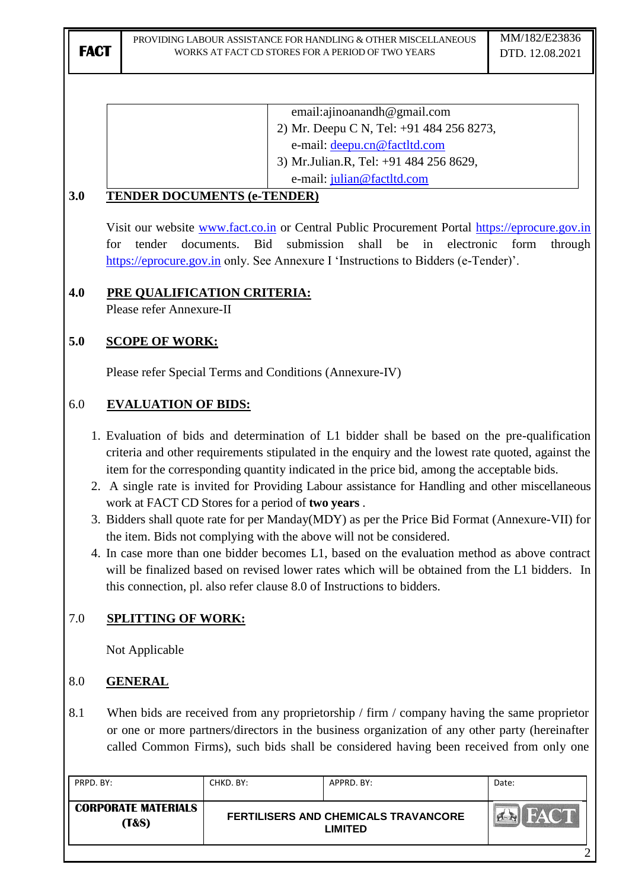|                                              | email:ajinoanandh@gmail.com              |
|----------------------------------------------|------------------------------------------|
|                                              | 2) Mr. Deepu C N, Tel: +91 484 256 8273, |
|                                              | e-mail: deepu.cn@factltd.com             |
|                                              | 3) Mr. Julian. R, Tel: +91 484 256 8629, |
|                                              | e-mail: julian@factltd.com               |
| $2^{\Omega}$<br>TENDED DOCUMENTS / . TENDED) |                                          |

### **3.0 TENDER DOCUMENTS (e-TENDER)**

Visit our website [www.fact.co.in](http://www.fact.co.in/) or Central Public Procurement Portal [https://eprocure.gov.in](https://eprocure.gov.in/) for tender documents. Bid submission shall be in electronic form through [https://eprocure.gov.in](https://eprocure.gov.in/) only. See Annexure I 'Instructions to Bidders (e-Tender)'.

## **4.0 PRE QUALIFICATION CRITERIA:**

Please refer Annexure-II

## **5.0 SCOPE OF WORK:**

Please refer Special Terms and Conditions (Annexure-IV)

### 6.0 **EVALUATION OF BIDS:**

- 1. Evaluation of bids and determination of L1 bidder shall be based on the pre-qualification criteria and other requirements stipulated in the enquiry and the lowest rate quoted, against the item for the corresponding quantity indicated in the price bid, among the acceptable bids.
- 2. A single rate is invited for Providing Labour assistance for Handling and other miscellaneous work at FACT CD Stores for a period of **two years** .
- 3. Bidders shall quote rate for per Manday(MDY) as per the Price Bid Format (Annexure-VII) for the item. Bids not complying with the above will not be considered.
- 4. In case more than one bidder becomes L1, based on the evaluation method as above contract will be finalized based on revised lower rates which will be obtained from the L1 bidders. In this connection, pl. also refer clause 8.0 of Instructions to bidders.

## 7.0 **SPLITTING OF WORK:**

Not Applicable

## 8.0 **GENERAL**

8.1 When bids are received from any proprietorship / firm / company having the same proprietor or one or more partners/directors in the business organization of any other party (hereinafter called Common Firms), such bids shall be considered having been received from only one

|                                                | CHKD, BY: | APPRD. BY:                                                    | Date: |
|------------------------------------------------|-----------|---------------------------------------------------------------|-------|
| <b>CORPORATE MATERIALS</b><br><b>(T&amp;S)</b> |           | <b>FERTILISERS AND CHEMICALS TRAVANCORE</b><br><b>LIMITED</b> |       |

2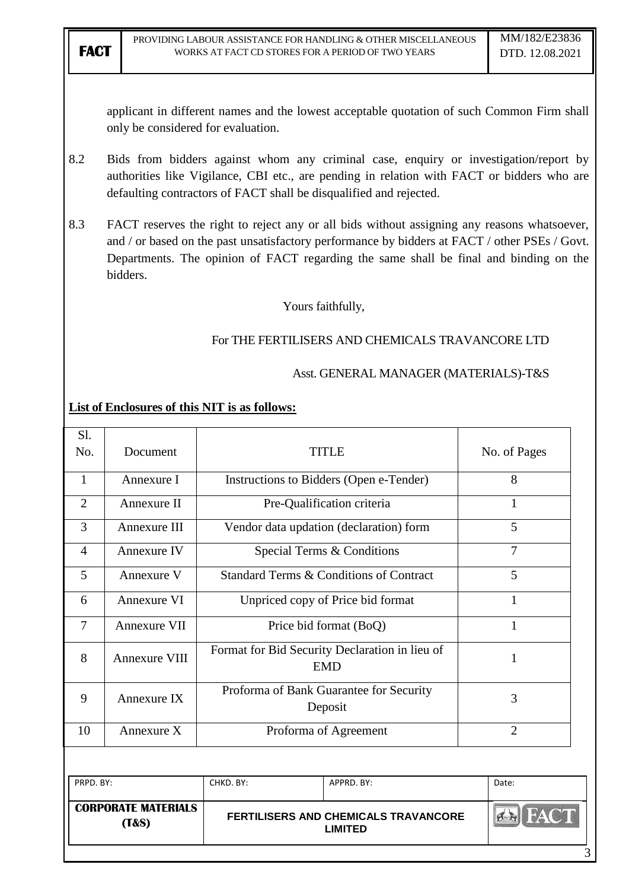applicant in different names and the lowest acceptable quotation of such Common Firm shall only be considered for evaluation.

- 8.2 Bids from bidders against whom any criminal case, enquiry or investigation/report by authorities like Vigilance, CBI etc., are pending in relation with FACT or bidders who are defaulting contractors of FACT shall be disqualified and rejected.
- 8.3 FACT reserves the right to reject any or all bids without assigning any reasons whatsoever, and / or based on the past unsatisfactory performance by bidders at FACT / other PSEs / Govt. Departments. The opinion of FACT regarding the same shall be final and binding on the bidders.

Yours faithfully,

### For THE FERTILISERS AND CHEMICALS TRAVANCORE LTD

### Asst. GENERAL MANAGER (MATERIALS)-T&S

### **List of Enclosures of this NIT is as follows:**

|                | <b>CORPORATE MATERIALS</b><br>(T&S) |                                                              | <b>FERTILISERS AND CHEMICALS TRAVANCORE</b><br><b>LIMITED</b> |                |
|----------------|-------------------------------------|--------------------------------------------------------------|---------------------------------------------------------------|----------------|
| PRPD. BY:      |                                     | CHKD. BY:<br>APPRD. BY:                                      |                                                               | Date:          |
|                |                                     |                                                              |                                                               |                |
| 10             | Annexure X                          | Proforma of Agreement                                        |                                                               | $\overline{2}$ |
| 9              | Annexure IX                         | Proforma of Bank Guarantee for Security<br>Deposit           |                                                               | 3              |
| 8              | <b>Annexure VIII</b>                | Format for Bid Security Declaration in lieu of<br><b>EMD</b> |                                                               | $\mathbf{1}$   |
| $\tau$         | Annexure VII                        | Price bid format (BoQ)                                       |                                                               | 1              |
| 6              | Annexure VI                         | Unpriced copy of Price bid format                            |                                                               | 1              |
| 5              | Annexure V                          |                                                              | <b>Standard Terms &amp; Conditions of Contract</b>            | 5              |
| $\overline{4}$ | Annexure IV                         |                                                              | Special Terms & Conditions                                    | $\overline{7}$ |
| 3              | Annexure III                        |                                                              | Vendor data updation (declaration) form                       | 5              |
| $\overline{2}$ | Annexure II                         |                                                              | Pre-Qualification criteria                                    | 1              |
| 1              | Annexure I                          | Instructions to Bidders (Open e-Tender)                      |                                                               | 8              |
| Sl.<br>No.     | Document                            | <b>TITLE</b>                                                 |                                                               | No. of Pages   |

3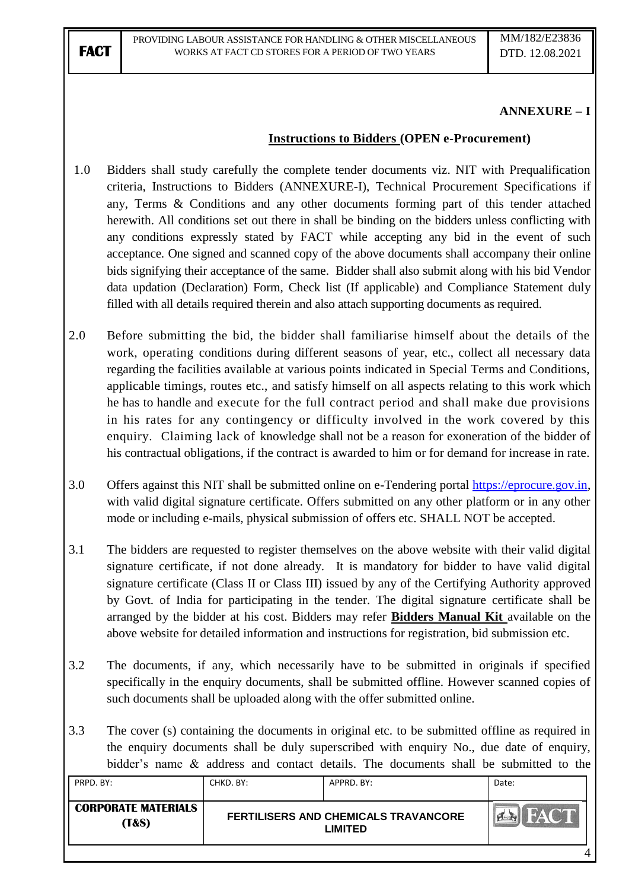### **ANNEXURE – I**

### **Instructions to Bidders (OPEN e-Procurement)**

- 1.0 Bidders shall study carefully the complete tender documents viz. NIT with Prequalification criteria, Instructions to Bidders (ANNEXURE-I), Technical Procurement Specifications if any, Terms & Conditions and any other documents forming part of this tender attached herewith. All conditions set out there in shall be binding on the bidders unless conflicting with any conditions expressly stated by FACT while accepting any bid in the event of such acceptance. One signed and scanned copy of the above documents shall accompany their online bids signifying their acceptance of the same. Bidder shall also submit along with his bid Vendor data updation (Declaration) Form, Check list (If applicable) and Compliance Statement duly filled with all details required therein and also attach supporting documents as required.
- 2.0 Before submitting the bid, the bidder shall familiarise himself about the details of the work, operating conditions during different seasons of year, etc., collect all necessary data regarding the facilities available at various points indicated in Special Terms and Conditions, applicable timings, routes etc., and satisfy himself on all aspects relating to this work which he has to handle and execute for the full contract period and shall make due provisions in his rates for any contingency or difficulty involved in the work covered by this enquiry. Claiming lack of knowledge shall not be a reason for exoneration of the bidder of his contractual obligations, if the contract is awarded to him or for demand for increase in rate.
- 3.0 Offers against this NIT shall be submitted online on e-Tendering portal [https://eprocure.gov.in,](https://eprocure.gov.in/) with valid digital signature certificate. Offers submitted on any other platform or in any other mode or including e-mails, physical submission of offers etc. SHALL NOT be accepted.
- 3.1 The bidders are requested to register themselves on the above website with their valid digital signature certificate, if not done already. It is mandatory for bidder to have valid digital signature certificate (Class II or Class III) issued by any of the Certifying Authority approved by Govt. of India for participating in the tender. The digital signature certificate shall be arranged by the bidder at his cost. Bidders may refer **Bidders Manual Kit** available on the above website for detailed information and instructions for registration, bid submission etc.
- 3.2 The documents, if any, which necessarily have to be submitted in originals if specified specifically in the enquiry documents, shall be submitted offline. However scanned copies of such documents shall be uploaded along with the offer submitted online.
- 3.3 The cover (s) containing the documents in original etc. to be submitted offline as required in the enquiry documents shall be duly superscribed with enquiry No., due date of enquiry, bidder"s name & address and contact details. The documents shall be submitted to the

| PRPD, BY:                                      | CHKD. BY: | APPRD. BY:                                             | Date: |
|------------------------------------------------|-----------|--------------------------------------------------------|-------|
| <b>CORPORATE MATERIALS</b><br><b>(T&amp;S)</b> |           | FERTILISERS AND CHEMICALS TRAVANCORE<br><b>LIMITED</b> |       |
|                                                |           |                                                        |       |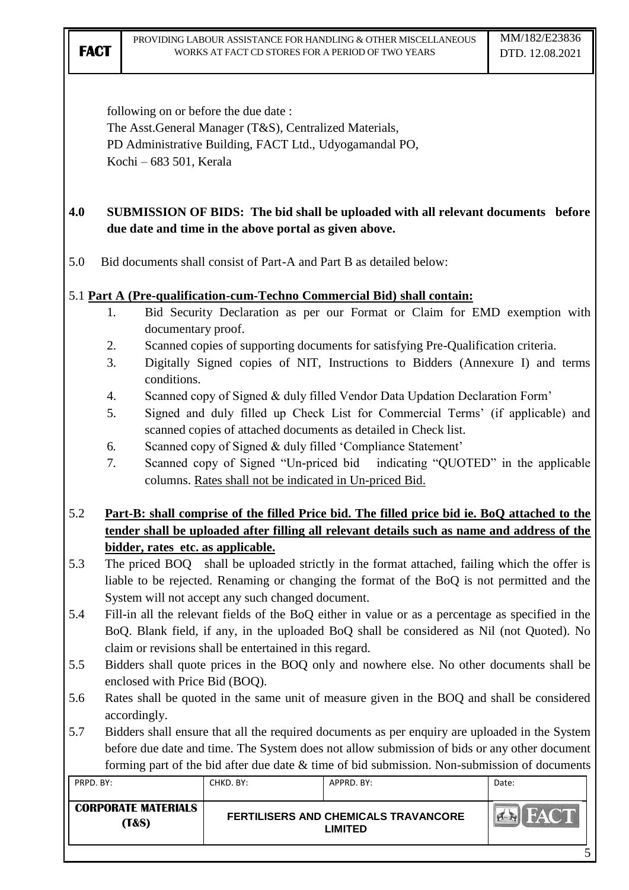following on or before the due date :

The Asst.General Manager (T&S), Centralized Materials, PD Administrative Building, FACT Ltd., Udyogamandal PO, Kochi – 683 501, Kerala

## **4.0 SUBMISSION OF BIDS: The bid shall be uploaded with all relevant documents before due date and time in the above portal as given above.**

5.0 Bid documents shall consist of Part-A and Part B as detailed below:

## 5.1 **Part A (Pre-qualification-cum-Techno Commercial Bid) shall contain:**

- 1. Bid Security Declaration as per our Format or Claim for EMD exemption with documentary proof.
- 2. Scanned copies of supporting documents for satisfying Pre-Qualification criteria.
- 3. Digitally Signed copies of NIT, Instructions to Bidders (Annexure I) and terms conditions.
- 4. Scanned copy of Signed & duly filled Vendor Data Updation Declaration Form"
- 5. Signed and duly filled up Check List for Commercial Terms" (if applicable) and scanned copies of attached documents as detailed in Check list.
- 6. Scanned copy of Signed & duly filled "Compliance Statement"
- 7. Scanned copy of Signed "Un-priced bid indicating "QUOTED" in the applicable columns. Rates shall not be indicated in Un-priced Bid.

# 5.2 **Part-B: shall comprise of the filled Price bid. The filled price bid ie. BoQ attached to the tender shall be uploaded after filling all relevant details such as name and address of the bidder, rates etc. as applicable.**

- 5.3 The priced BOQ shall be uploaded strictly in the format attached, failing which the offer is liable to be rejected. Renaming or changing the format of the BoQ is not permitted and the System will not accept any such changed document.
- 5.4 Fill-in all the relevant fields of the BoQ either in value or as a percentage as specified in the BoQ. Blank field, if any, in the uploaded BoQ shall be considered as Nil (not Quoted). No claim or revisions shall be entertained in this regard.
- 5.5 Bidders shall quote prices in the BOQ only and nowhere else. No other documents shall be enclosed with Price Bid (BOQ).
- 5.6 Rates shall be quoted in the same unit of measure given in the BOQ and shall be considered accordingly.
- 5.7 Bidders shall ensure that all the required documents as per enquiry are uploaded in the System before due date and time. The System does not allow submission of bids or any other document forming part of the bid after due date & time of bid submission. Non-submission of documents

| PRPD, BY:                                      | CHKD, BY: | APPRD, BY:                                             | Date: |
|------------------------------------------------|-----------|--------------------------------------------------------|-------|
| <b>CORPORATE MATERIALS</b><br><b>(T&amp;S)</b> |           | FERTILISERS AND CHEMICALS TRAVANCORE<br><b>LIMITED</b> |       |
|                                                |           |                                                        |       |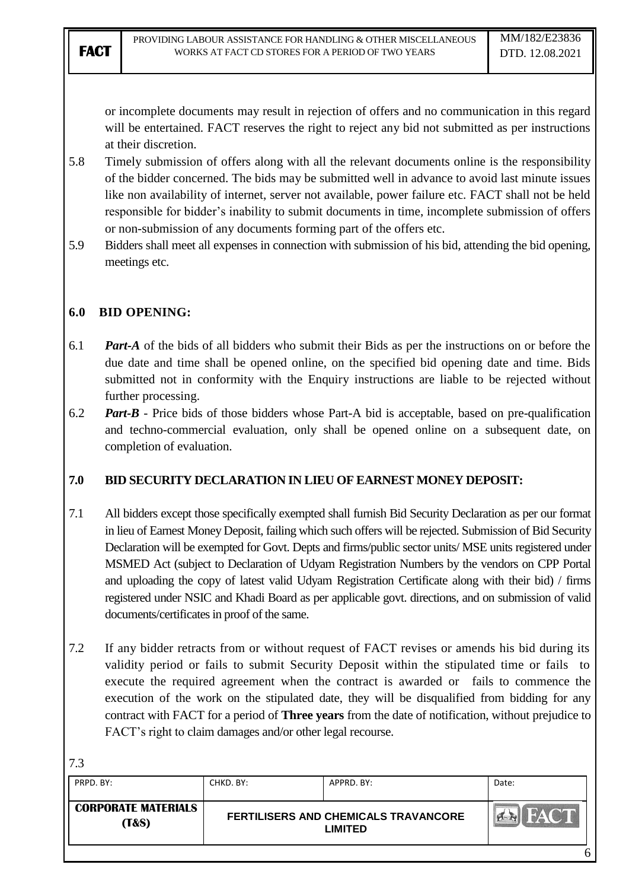or incomplete documents may result in rejection of offers and no communication in this regard will be entertained. FACT reserves the right to reject any bid not submitted as per instructions at their discretion.

- 5.8 Timely submission of offers along with all the relevant documents online is the responsibility of the bidder concerned. The bids may be submitted well in advance to avoid last minute issues like non availability of internet, server not available, power failure etc. FACT shall not be held responsible for bidder"s inability to submit documents in time, incomplete submission of offers or non-submission of any documents forming part of the offers etc.
- 5.9 Bidders shall meet all expenses in connection with submission of his bid, attending the bid opening, meetings etc.

### **6.0 BID OPENING:**

- 6.1 *Part-A* of the bids of all bidders who submit their Bids as per the instructions on or before the due date and time shall be opened online, on the specified bid opening date and time. Bids submitted not in conformity with the Enquiry instructions are liable to be rejected without further processing.
- 6.2 *Part-B* Price bids of those bidders whose Part-A bid is acceptable, based on pre-qualification and techno-commercial evaluation, only shall be opened online on a subsequent date, on completion of evaluation.

## **7.0 BID SECURITY DECLARATION IN LIEU OF EARNEST MONEY DEPOSIT:**

- 7.1 All bidders except those specifically exempted shall furnish Bid Security Declaration as per our format in lieu of Earnest Money Deposit, failing which such offers will be rejected. Submission of Bid Security Declaration will be exempted for Govt. Depts and firms/public sector units/ MSE units registered under MSMED Act (subject to Declaration of Udyam Registration Numbers by the vendors on CPP Portal and uploading the copy of latest valid Udyam Registration Certificate along with their bid) / firms registered under NSIC and Khadi Board as per applicable govt. directions, and on submission of valid documents/certificates in proof of the same.
- 7.2 If any bidder retracts from or without request of FACT revises or amends his bid during its validity period or fails to submit Security Deposit within the stipulated time or fails to execute the required agreement when the contract is awarded or fails to commence the execution of the work on the stipulated date, they will be disqualified from bidding for any contract with FACT for a period of **Three years** from the date of notification, without prejudice to FACT"s right to claim damages and/or other legal recourse.

| ٠<br>v<br>M. |
|--------------|

| PRPD, BY:                                      | CHKD. BY: | APPRD, BY:                                             | Date: |
|------------------------------------------------|-----------|--------------------------------------------------------|-------|
| <b>CORPORATE MATERIALS</b><br><b>(T&amp;S)</b> |           | FERTILISERS AND CHEMICALS TRAVANCORE<br><b>LIMITED</b> |       |
|                                                |           |                                                        |       |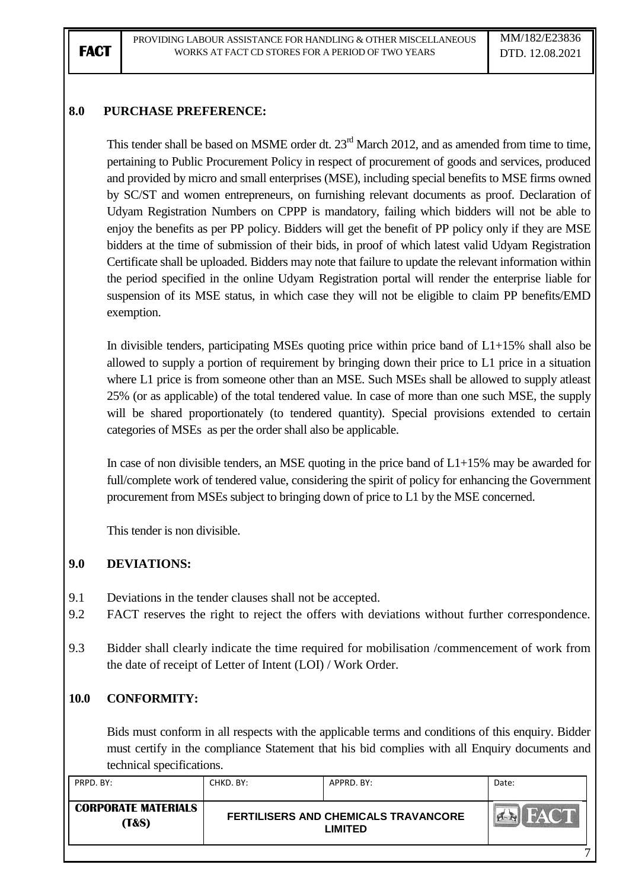## **8.0 PURCHASE PREFERENCE:**

This tender shall be based on MSME order dt. 23<sup>rd</sup> March 2012, and as amended from time to time, pertaining to Public Procurement Policy in respect of procurement of goods and services, produced and provided by micro and small enterprises (MSE), including special benefits to MSE firms owned by SC/ST and women entrepreneurs, on furnishing relevant documents as proof. Declaration of Udyam Registration Numbers on CPPP is mandatory, failing which bidders will not be able to enjoy the benefits as per PP policy. Bidders will get the benefit of PP policy only if they are MSE bidders at the time of submission of their bids, in proof of which latest valid Udyam Registration Certificate shall be uploaded. Bidders may note that failure to update the relevant information within the period specified in the online Udyam Registration portal will render the enterprise liable for suspension of its MSE status, in which case they will not be eligible to claim PP benefits/EMD exemption.

In divisible tenders, participating MSEs quoting price within price band of L1+15% shall also be allowed to supply a portion of requirement by bringing down their price to L1 price in a situation where L1 price is from someone other than an MSE. Such MSEs shall be allowed to supply at least 25% (or as applicable) of the total tendered value. In case of more than one such MSE, the supply will be shared proportionately (to tendered quantity). Special provisions extended to certain categories of MSEs as per the order shall also be applicable.

In case of non divisible tenders, an MSE quoting in the price band of  $L1+15\%$  may be awarded for full/complete work of tendered value, considering the spirit of policy for enhancing the Government procurement from MSEs subject to bringing down of price to L1 by the MSE concerned.

This tender is non divisible.

### **9.0 DEVIATIONS:**

- 9.1 Deviations in the tender clauses shall not be accepted.
- 9.2 FACT reserves the right to reject the offers with deviations without further correspondence.
- 9.3 Bidder shall clearly indicate the time required for mobilisation /commencement of work from the date of receipt of Letter of Intent (LOI) / Work Order.

### **10.0 CONFORMITY:**

Bids must conform in all respects with the applicable terms and conditions of this enquiry. Bidder must certify in the compliance Statement that his bid complies with all Enquiry documents and technical specifications.

| PRPD, BY:                                      | CHKD. BY: | APPRD. BY:                                                    | Date: |
|------------------------------------------------|-----------|---------------------------------------------------------------|-------|
| <b>CORPORATE MATERIALS</b><br><b>(T&amp;S)</b> |           | <b>FERTILISERS AND CHEMICALS TRAVANCORE</b><br><b>LIMITED</b> |       |
|                                                |           |                                                               | -     |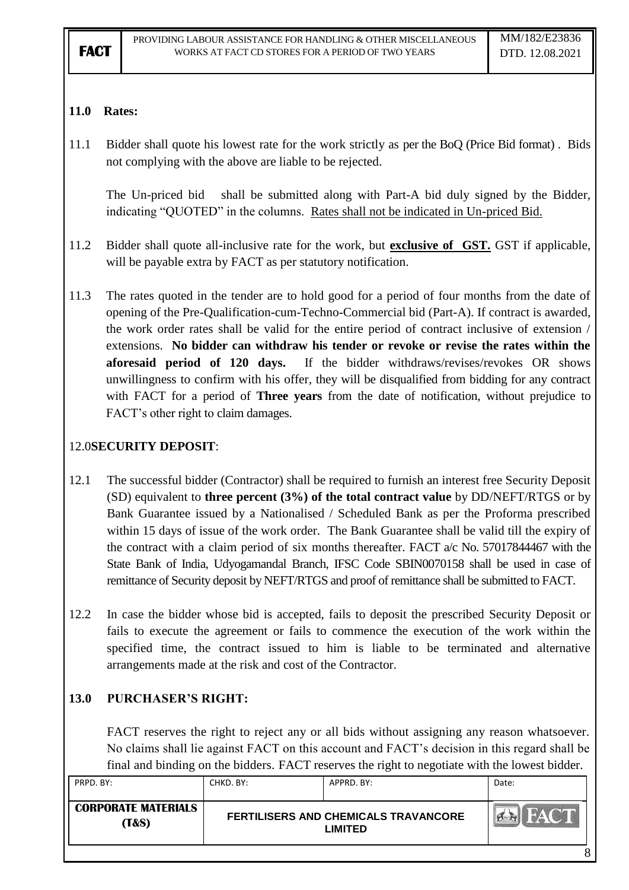## **11.0 Rates:**

11.1 Bidder shall quote his lowest rate for the work strictly as per the BoQ (Price Bid format) . Bids not complying with the above are liable to be rejected.

The Un-priced bid shall be submitted along with Part-A bid duly signed by the Bidder, indicating "QUOTED" in the columns. Rates shall not be indicated in Un-priced Bid.

- 11.2 Bidder shall quote all-inclusive rate for the work, but **exclusive of GST.** GST if applicable, will be payable extra by FACT as per statutory notification.
- 11.3 The rates quoted in the tender are to hold good for a period of four months from the date of opening of the Pre-Qualification-cum-Techno-Commercial bid (Part-A). If contract is awarded, the work order rates shall be valid for the entire period of contract inclusive of extension / extensions. **No bidder can withdraw his tender or revoke or revise the rates within the aforesaid period of 120 days.** If the bidder withdraws/revises/revokes OR shows unwillingness to confirm with his offer, they will be disqualified from bidding for any contract with FACT for a period of **Three years** from the date of notification, without prejudice to FACT"s other right to claim damages.

# 12.0**SECURITY DEPOSIT**:

- 12.1 The successful bidder (Contractor) shall be required to furnish an interest free Security Deposit (SD) equivalent to **three percent (3%) of the total contract value** by DD/NEFT/RTGS or by Bank Guarantee issued by a Nationalised / Scheduled Bank as per the Proforma prescribed within 15 days of issue of the work order. The Bank Guarantee shall be valid till the expiry of the contract with a claim period of six months thereafter. FACT a/c No. 57017844467 with the State Bank of India, Udyogamandal Branch, IFSC Code SBIN0070158 shall be used in case of remittance of Security deposit by NEFT/RTGS and proof of remittance shall be submitted to FACT.
- 12.2 In case the bidder whose bid is accepted, fails to deposit the prescribed Security Deposit or fails to execute the agreement or fails to commence the execution of the work within the specified time, the contract issued to him is liable to be terminated and alternative arrangements made at the risk and cost of the Contractor.

## **13.0 PURCHASER'S RIGHT:**

FACT reserves the right to reject any or all bids without assigning any reason whatsoever. No claims shall lie against FACT on this account and FACT"s decision in this regard shall be final and binding on the bidders. FACT reserves the right to negotiate with the lowest bidder.

| PRPD. BY:                                      | CHKD, BY: | APPRD, BY:                                             | Date: |
|------------------------------------------------|-----------|--------------------------------------------------------|-------|
| <b>CORPORATE MATERIALS</b><br><b>(T&amp;S)</b> |           | FERTILISERS AND CHEMICALS TRAVANCORE<br><b>LIMITED</b> |       |
|                                                |           |                                                        |       |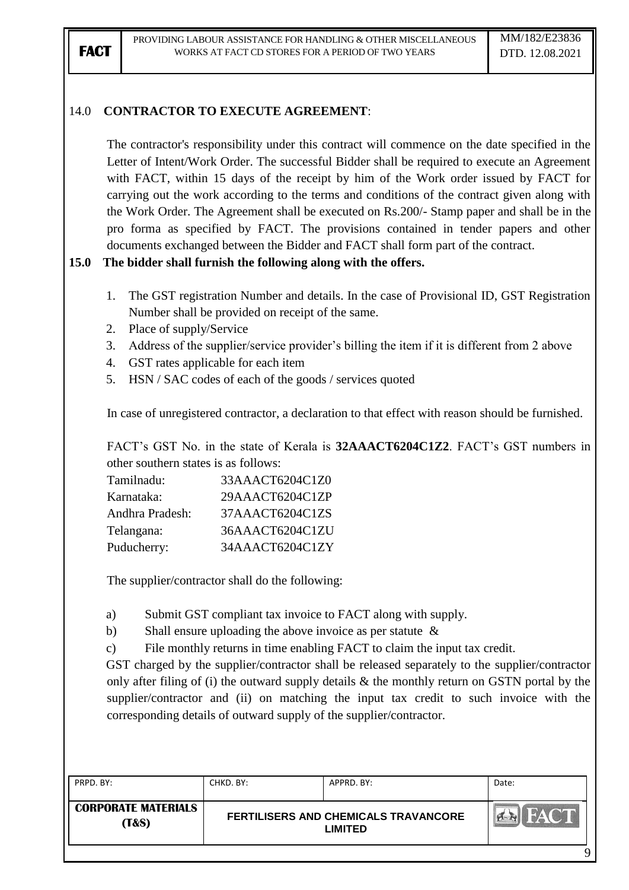### 14.0 **CONTRACTOR TO EXECUTE AGREEMENT**:

The contractor's responsibility under this contract will commence on the date specified in the Letter of Intent/Work Order. The successful Bidder shall be required to execute an Agreement with FACT, within 15 days of the receipt by him of the Work order issued by FACT for carrying out the work according to the terms and conditions of the contract given along with the Work Order. The Agreement shall be executed on Rs.200/- Stamp paper and shall be in the pro forma as specified by FACT. The provisions contained in tender papers and other documents exchanged between the Bidder and FACT shall form part of the contract.

### **15.0 The bidder shall furnish the following along with the offers.**

- 1. The GST registration Number and details. In the case of Provisional ID, GST Registration Number shall be provided on receipt of the same.
- 2. Place of supply/Service
- 3. Address of the supplier/service provider's billing the item if it is different from 2 above
- 4. GST rates applicable for each item
- 5. HSN / SAC codes of each of the goods / services quoted

In case of unregistered contractor, a declaration to that effect with reason should be furnished.

FACT's GST No. in the state of Kerala is **32AAACT6204C1Z2**. FACT's GST numbers in other southern states is as follows:

| 33AAACT6204C1Z0 |
|-----------------|
| 29AAACT6204C1ZP |
| 37AAACT6204C1ZS |
| 36AAACT6204C1ZU |
| 34AAACT6204C1ZY |
|                 |

The supplier/contractor shall do the following:

a) Submit GST compliant tax invoice to FACT along with supply.

b) Shall ensure uploading the above invoice as per statute &

c) File monthly returns in time enabling FACT to claim the input tax credit.

GST charged by the supplier/contractor shall be released separately to the supplier/contractor only after filing of (i) the outward supply details & the monthly return on GSTN portal by the supplier/contractor and (ii) on matching the input tax credit to such invoice with the corresponding details of outward supply of the supplier/contractor.

| PRPD, BY:                           | CHKD. BY: | APPRD. BY:                                             | Date: |
|-------------------------------------|-----------|--------------------------------------------------------|-------|
| <b>CORPORATE MATERIALS</b><br>(T&S) |           | FERTILISERS AND CHEMICALS TRAVANCORE<br><b>LIMITED</b> | FACT  |
|                                     |           |                                                        |       |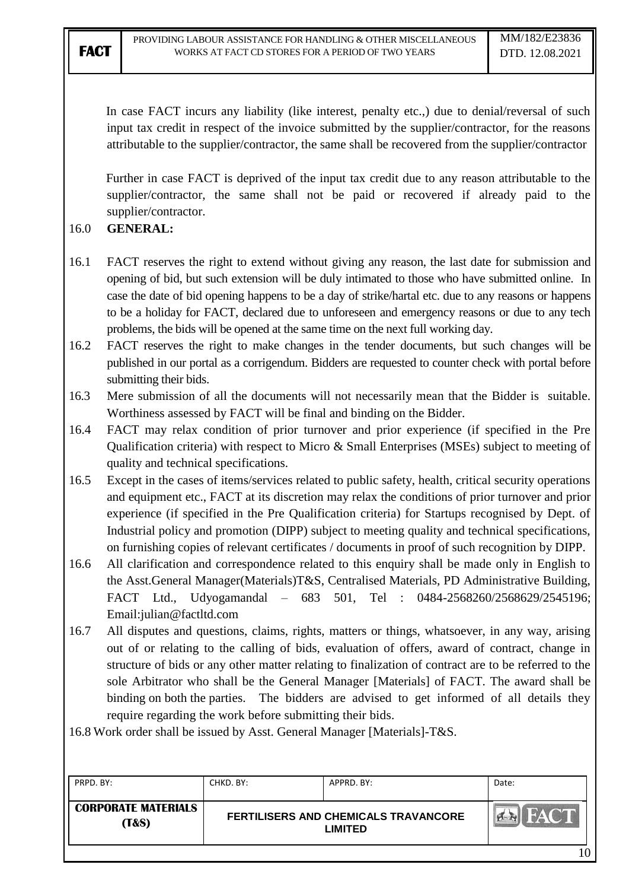In case FACT incurs any liability (like interest, penalty etc..) due to denial/reversal of such input tax credit in respect of the invoice submitted by the supplier/contractor, for the reasons attributable to the supplier/contractor, the same shall be recovered from the supplier/contractor

Further in case FACT is deprived of the input tax credit due to any reason attributable to the supplier/contractor, the same shall not be paid or recovered if already paid to the supplier/contractor.

### 16.0 **GENERAL:**

- 16.1 FACT reserves the right to extend without giving any reason, the last date for submission and opening of bid, but such extension will be duly intimated to those who have submitted online. In case the date of bid opening happens to be a day of strike/hartal etc. due to any reasons or happens to be a holiday for FACT, declared due to unforeseen and emergency reasons or due to any tech problems, the bids will be opened at the same time on the next full working day.
- 16.2 FACT reserves the right to make changes in the tender documents, but such changes will be published in our portal as a corrigendum. Bidders are requested to counter check with portal before submitting their bids.
- 16.3 Mere submission of all the documents will not necessarily mean that the Bidder is suitable. Worthiness assessed by FACT will be final and binding on the Bidder.
- 16.4 FACT may relax condition of prior turnover and prior experience (if specified in the Pre Qualification criteria) with respect to Micro & Small Enterprises (MSEs) subject to meeting of quality and technical specifications.
- 16.5 Except in the cases of items/services related to public safety, health, critical security operations and equipment etc., FACT at its discretion may relax the conditions of prior turnover and prior experience (if specified in the Pre Qualification criteria) for Startups recognised by Dept. of Industrial policy and promotion (DIPP) subject to meeting quality and technical specifications, on furnishing copies of relevant certificates / documents in proof of such recognition by DIPP.
- 16.6 All clarification and correspondence related to this enquiry shall be made only in English to the Asst.General Manager(Materials)T&S, Centralised Materials, PD Administrative Building, FACT Ltd., Udyogamandal – 683 501, Tel : 0484-2568260/2568629/2545196; Email:julian@factltd.com
- 16.7 All disputes and questions, claims, rights, matters or things, whatsoever, in any way, arising out of or relating to the calling of bids, evaluation of offers, award of contract, change in structure of bids or any other matter relating to finalization of contract are to be referred to the sole Arbitrator who shall be the General Manager [Materials] of FACT. The award shall be binding on both the parties. The bidders are advised to get informed of all details they require regarding the work before submitting their bids.

16.8 Work order shall be issued by Asst. General Manager [Materials]-T&S.

| PRPD. BY:                                      | CHKD. BY: | APPRD. BY:                                                    | Date: |
|------------------------------------------------|-----------|---------------------------------------------------------------|-------|
| <b>CORPORATE MATERIALS</b><br><b>(T&amp;S)</b> |           | <b>FERTILISERS AND CHEMICALS TRAVANCORE</b><br><b>LIMITED</b> |       |
|                                                |           |                                                               | 10    |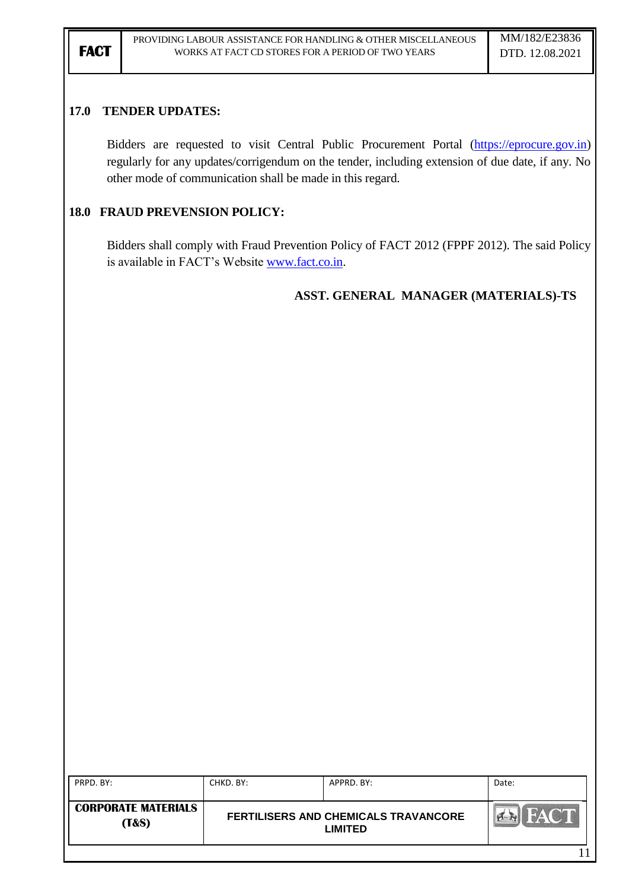### **17.0 TENDER UPDATES:**

Bidders are requested to visit Central Public Procurement Portal [\(https://eprocure.gov.in\)](https://eprocure.gov.in/) regularly for any updates/corrigendum on the tender, including extension of due date, if any. No other mode of communication shall be made in this regard.

### **18.0 FRAUD PREVENSION POLICY:**

Bidders shall comply with Fraud Prevention Policy of FACT 2012 (FPPF 2012). The said Policy is available in FACT"s Website [www.fact.co.in.](http://www.fact.co.in/)

### **ASST. GENERAL MANAGER (MATERIALS)-TS**

| PRPD. BY:                                      | CHKD, BY:                                       | APPRD, BY: | Date: |
|------------------------------------------------|-------------------------------------------------|------------|-------|
| <b>CORPORATE MATERIALS</b><br><b>(T&amp;S)</b> | FERTILISERS AND CHEMICALS TRAVANCORE<br>LIMITED |            |       |
|                                                |                                                 |            |       |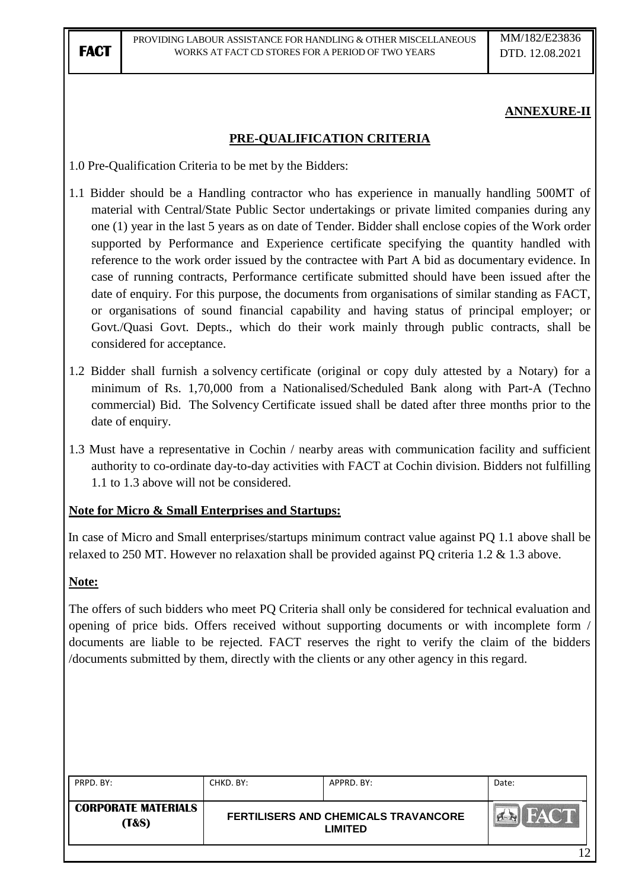## **ANNEXURE-II**

### **PRE-QUALIFICATION CRITERIA**

1.0 Pre-Qualification Criteria to be met by the Bidders:

- 1.1 Bidder should be a Handling contractor who has experience in manually handling 500MT of material with Central/State Public Sector undertakings or private limited companies during any one (1) year in the last 5 years as on date of Tender. Bidder shall enclose copies of the Work order supported by Performance and Experience certificate specifying the quantity handled with reference to the work order issued by the contractee with Part A bid as documentary evidence. In case of running contracts, Performance certificate submitted should have been issued after the date of enquiry. For this purpose, the documents from organisations of similar standing as FACT, or organisations of sound financial capability and having status of principal employer; or Govt./Quasi Govt. Depts., which do their work mainly through public contracts, shall be considered for acceptance.
- 1.2 Bidder shall furnish a solvency certificate (original or copy duly attested by a Notary) for a minimum of Rs. 1,70,000 from a Nationalised/Scheduled Bank along with Part-A (Techno commercial) Bid. The Solvency Certificate issued shall be dated after three months prior to the date of enquiry.
- 1.3 Must have a representative in Cochin / nearby areas with communication facility and sufficient authority to co-ordinate day-to-day activities with FACT at Cochin division. Bidders not fulfilling 1.1 to 1.3 above will not be considered.

### **Note for Micro & Small Enterprises and Startups:**

In case of Micro and Small enterprises/startups minimum contract value against PQ 1.1 above shall be relaxed to 250 MT. However no relaxation shall be provided against PQ criteria 1.2 & 1.3 above.

### **Note:**

The offers of such bidders who meet PQ Criteria shall only be considered for technical evaluation and opening of price bids. Offers received without supporting documents or with incomplete form / documents are liable to be rejected. FACT reserves the right to verify the claim of the bidders /documents submitted by them, directly with the clients or any other agency in this regard.

| <b>CORPORATE MATERIALS</b><br><b>FACT</b><br>FERTILISERS AND CHEMICALS TRAVANCORE<br><b>(T&amp;S)</b><br><b>LIMITED</b> | PRPD. BY: | CHKD. BY: | APPRD. BY: | Date: |
|-------------------------------------------------------------------------------------------------------------------------|-----------|-----------|------------|-------|
|                                                                                                                         |           |           |            |       |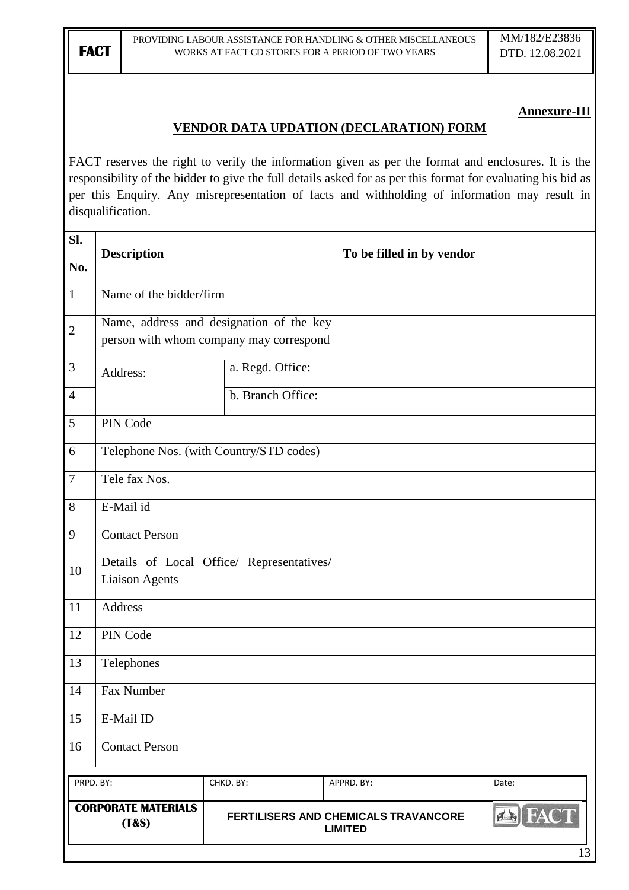### **Annexure-III**

### **VENDOR DATA UPDATION (DECLARATION) FORM**

FACT reserves the right to verify the information given as per the format and enclosures. It is the responsibility of the bidder to give the full details asked for as per this format for evaluating his bid as per this Enquiry. Any misrepresentation of facts and withholding of information may result in disqualification.

| Sl.<br>No.      | <b>Description</b>                                                 |                                                                                     | To be filled in by vendor                              |                |
|-----------------|--------------------------------------------------------------------|-------------------------------------------------------------------------------------|--------------------------------------------------------|----------------|
| $\overline{1}$  | Name of the bidder/firm                                            |                                                                                     |                                                        |                |
| $\overline{2}$  |                                                                    | Name, address and designation of the key<br>person with whom company may correspond |                                                        |                |
| $\mathfrak{Z}$  | Address:                                                           | a. Regd. Office:                                                                    |                                                        |                |
| $\overline{4}$  |                                                                    | b. Branch Office:                                                                   |                                                        |                |
| $\overline{5}$  | PIN Code                                                           |                                                                                     |                                                        |                |
| $\overline{6}$  |                                                                    | Telephone Nos. (with Country/STD codes)                                             |                                                        |                |
| $\overline{7}$  | Tele fax Nos.                                                      |                                                                                     |                                                        |                |
| 8               | E-Mail id                                                          |                                                                                     |                                                        |                |
| $\overline{9}$  | <b>Contact Person</b>                                              |                                                                                     |                                                        |                |
| 10              | Details of Local Office/ Representatives/<br><b>Liaison Agents</b> |                                                                                     |                                                        |                |
| 11              | Address                                                            |                                                                                     |                                                        |                |
| 12              | PIN Code                                                           |                                                                                     |                                                        |                |
| $\overline{13}$ | Telephones                                                         |                                                                                     |                                                        |                |
| 14              | Fax Number                                                         |                                                                                     |                                                        |                |
| 15              | E-Mail ID                                                          |                                                                                     |                                                        |                |
| 16              | <b>Contact Person</b>                                              |                                                                                     |                                                        |                |
| PRPD. BY:       |                                                                    | CHKD. BY:                                                                           | APPRD. BY:                                             | Date:          |
|                 | <b>CORPORATE MATERIALS</b><br>(T&s)                                |                                                                                     | FERTILISERS AND CHEMICALS TRAVANCORE<br><b>LIMITED</b> | <b>EN FACT</b> |
|                 |                                                                    |                                                                                     |                                                        | 13             |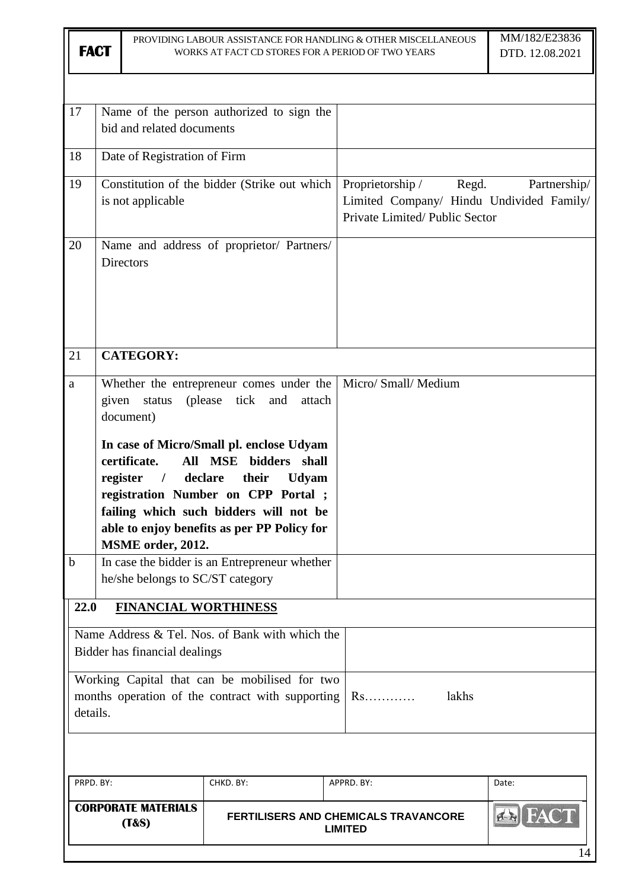|                  | PROVIDING LABOUR ASSISTANCE FOR HANDLING & OTHER MISCELLANEOUS<br><b>FACT</b><br>WORKS AT FACT CD STORES FOR A PERIOD OF TWO YEARS |                                                                                                 |                                                                                                                                                                                                                                                                                                                          | MM/182/E23836<br>DTD. 12.08.2021                                                                       |                    |
|------------------|------------------------------------------------------------------------------------------------------------------------------------|-------------------------------------------------------------------------------------------------|--------------------------------------------------------------------------------------------------------------------------------------------------------------------------------------------------------------------------------------------------------------------------------------------------------------------------|--------------------------------------------------------------------------------------------------------|--------------------|
|                  |                                                                                                                                    |                                                                                                 |                                                                                                                                                                                                                                                                                                                          |                                                                                                        |                    |
| 17               |                                                                                                                                    | bid and related documents                                                                       | Name of the person authorized to sign the                                                                                                                                                                                                                                                                                |                                                                                                        |                    |
| 18               |                                                                                                                                    | Date of Registration of Firm                                                                    |                                                                                                                                                                                                                                                                                                                          |                                                                                                        |                    |
| 19               |                                                                                                                                    | is not applicable                                                                               | Constitution of the bidder (Strike out which                                                                                                                                                                                                                                                                             | Proprietorship /<br>Regd.<br>Limited Company/ Hindu Undivided Family/<br>Private Limited/Public Sector | Partnership/       |
| 20               |                                                                                                                                    | <b>Directors</b>                                                                                | Name and address of proprietor/ Partners/                                                                                                                                                                                                                                                                                |                                                                                                        |                    |
| 21               |                                                                                                                                    | <b>CATEGORY:</b>                                                                                |                                                                                                                                                                                                                                                                                                                          |                                                                                                        |                    |
| a                |                                                                                                                                    | given status<br>document)<br>certificate.<br>All<br>register<br>$\sqrt{ }$<br>MSME order, 2012. | Whether the entrepreneur comes under the<br>(please tick<br>and<br>attach<br>In case of Micro/Small pl. enclose Udyam<br><b>MSE</b><br>bidders shall<br>declare<br>their<br><b>Udyam</b><br>registration Number on CPP Portal ;<br>failing which such bidders will not be<br>able to enjoy benefits as per PP Policy for | Micro/ Small/ Medium                                                                                   |                    |
| $\mathbf b$      |                                                                                                                                    | he/she belongs to SC/ST category                                                                | In case the bidder is an Entrepreneur whether                                                                                                                                                                                                                                                                            |                                                                                                        |                    |
| 22.0<br>details. |                                                                                                                                    | <b>FINANCIAL WORTHINESS</b><br>Bidder has financial dealings                                    | Name Address & Tel. Nos. of Bank with which the<br>Working Capital that can be mobilised for two<br>months operation of the contract with supporting                                                                                                                                                                     | lakhs<br>Rs                                                                                            |                    |
|                  |                                                                                                                                    |                                                                                                 |                                                                                                                                                                                                                                                                                                                          |                                                                                                        |                    |
| PRPD. BY:        |                                                                                                                                    |                                                                                                 | CHKD. BY:                                                                                                                                                                                                                                                                                                                | APPRD. BY:                                                                                             | Date:              |
|                  |                                                                                                                                    | <b>CORPORATE MATERIALS</b><br>(T&S)                                                             |                                                                                                                                                                                                                                                                                                                          | <b>FERTILISERS AND CHEMICALS TRAVANCORE</b><br><b>LIMITED</b>                                          | <b>EN HA</b><br>14 |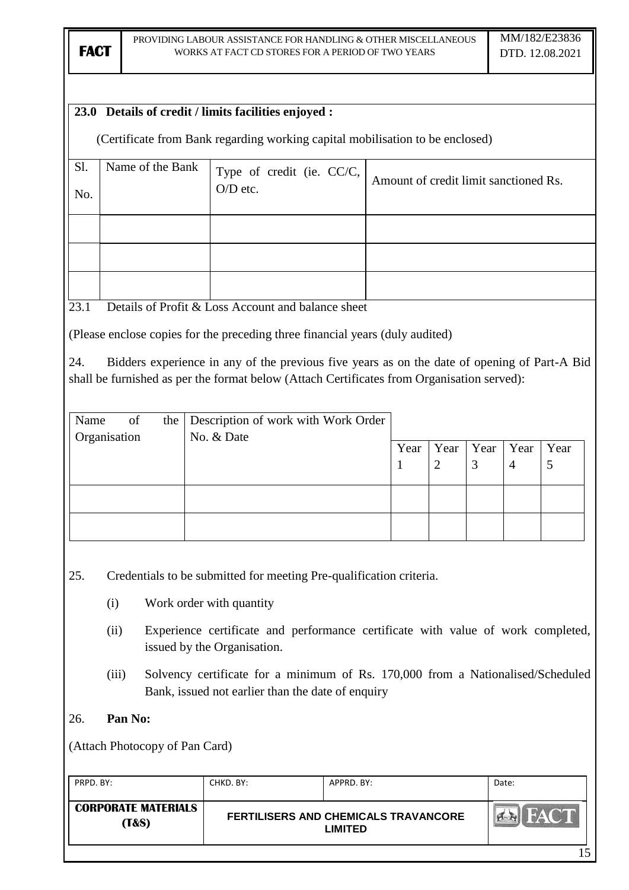### **23.0 Details of credit / limits facilities enjoyed :**

(Certificate from Bank regarding working capital mobilisation to be enclosed)

| S1.<br>No. | Name of the Bank | Type of credit (ie. CC/C, $\bigcup_{O/D \text{ etc.}}$ | Amount of credit limit sanctioned Rs. |
|------------|------------------|--------------------------------------------------------|---------------------------------------|
|            |                  |                                                        |                                       |
|            |                  |                                                        |                                       |
|            |                  |                                                        |                                       |

23.1 Details of Profit  $&$  Loss Account and balance sheet

(Please enclose copies for the preceding three financial years (duly audited)

24. Bidders experience in any of the previous five years as on the date of opening of Part-A Bid shall be furnished as per the format below (Attach Certificates from Organisation served):

| Name         | of | the Description of work with Work Order |      |      |      |           |           |
|--------------|----|-----------------------------------------|------|------|------|-----------|-----------|
| Organisation |    | No. & Date                              | Year | Year | Year | Year<br>4 | Year<br>5 |
|              |    |                                         |      |      |      |           |           |
|              |    |                                         |      |      |      |           |           |

25. Credentials to be submitted for meeting Pre-qualification criteria.

- (i) Work order with quantity
- (ii) Experience certificate and performance certificate with value of work completed, issued by the Organisation.
- (iii) Solvency certificate for a minimum of Rs. 170,000 from a Nationalised/Scheduled Bank, issued not earlier than the date of enquiry
- 26. **Pan No:**

(Attach Photocopy of Pan Card)

| PRPD. BY:                                      | CHKD, BY: | APPRD. BY:                                                    | Date:       |
|------------------------------------------------|-----------|---------------------------------------------------------------|-------------|
| <b>CORPORATE MATERIALS</b><br><b>(T&amp;S)</b> |           | <b>FERTILISERS AND CHEMICALS TRAVANCORE</b><br><b>LIMITED</b> | <b>FACT</b> |
|                                                |           |                                                               | .5          |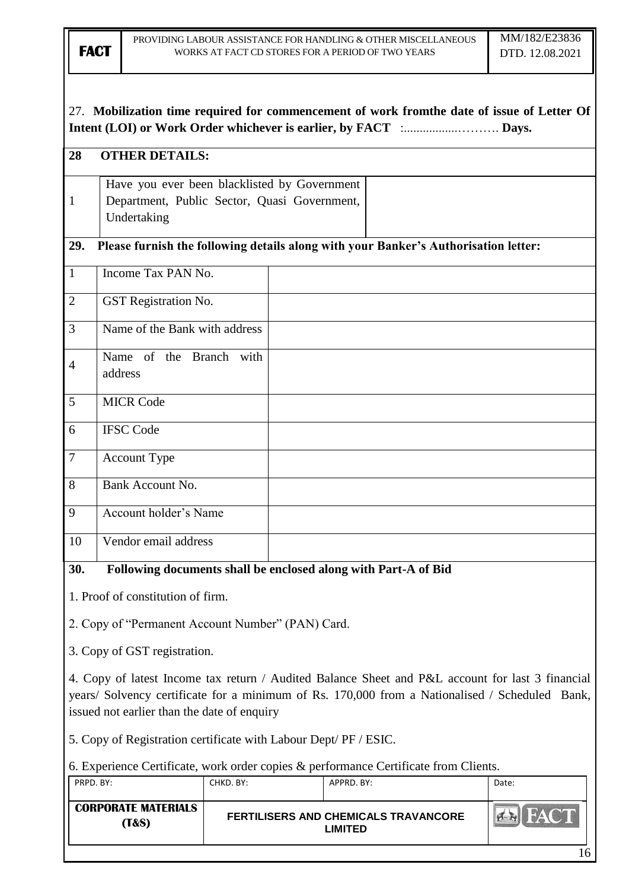## 27. **Mobilization time required for commencement of work fromthe date of issue of Letter Of Intent (LOI) or Work Order whichever is earlier, by FACT** :.................………. **Days.**

# **28 OTHER DETAILS:** 1 Have you ever been blacklisted by Government Department, Public Sector, Quasi Government, Undertaking **29. Please furnish the following details along with your Banker's Authorisation letter:** 1 Income Tax PAN No. 2 | GST Registration No. 3 Name of the Bank with address 4 Name of the Branch with address 5 MICR Code 6 IFSC Code 7 Account Type 8 Bank Account No. 9 Account holder's Name 10 Vendor email address **30. Following documents shall be enclosed along with Part-A of Bid**

1. Proof of constitution of firm.

2. Copy of "Permanent Account Number" (PAN) Card.

3. Copy of GST registration.

4. Copy of latest Income tax return / Audited Balance Sheet and P&L account for last 3 financial years/ Solvency certificate for a minimum of Rs. 170,000 from a Nationalised / Scheduled Bank, issued not earlier than the date of enquiry

5. Copy of Registration certificate with Labour Dept/ PF / ESIC.

6. Experience Certificate, work order copies & performance Certificate from Clients.

| PRPD. BY:                           | CHKD. BY: | APPRD. BY:                                                    | Date:                                   |
|-------------------------------------|-----------|---------------------------------------------------------------|-----------------------------------------|
| <b>CORPORATE MATERIALS</b><br>(T&S) |           | <b>FERTILISERS AND CHEMICALS TRAVANCORE</b><br><b>LIMITED</b> | $\ \sum_{i\in\mathbb{N}}\mathbf{F}^i\ $ |
|                                     |           |                                                               | 16                                      |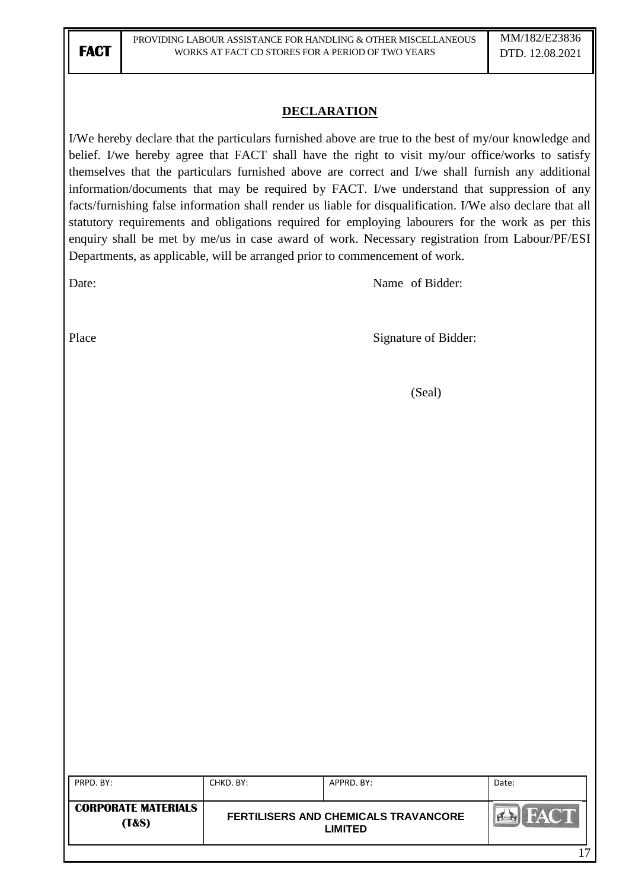### **DECLARATION**

I/We hereby declare that the particulars furnished above are true to the best of my/our knowledge and belief. I/we hereby agree that FACT shall have the right to visit my/our office/works to satisfy themselves that the particulars furnished above are correct and I/we shall furnish any additional information/documents that may be required by FACT. I/we understand that suppression of any facts/furnishing false information shall render us liable for disqualification. I/We also declare that all statutory requirements and obligations required for employing labourers for the work as per this enquiry shall be met by me/us in case award of work. Necessary registration from Labour/PF/ESI Departments, as applicable, will be arranged prior to commencement of work.

Date: Name of Bidder:

Place Signature of Bidder:

(Seal)

| PRPD. BY:                                      | CHKD. BY: | APPRD. BY:                                      | Date: |
|------------------------------------------------|-----------|-------------------------------------------------|-------|
| <b>CORPORATE MATERIALS</b><br><b>(T&amp;S)</b> |           | FERTILISERS AND CHEMICALS TRAVANCORE<br>LIMITED |       |
|                                                |           |                                                 | רי    |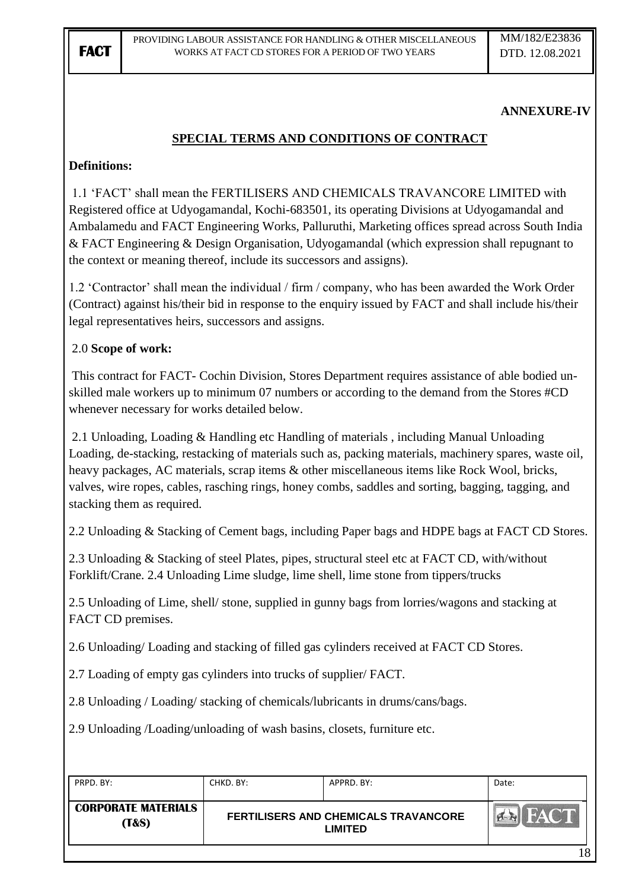## **ANNEXURE-IV**

## **SPECIAL TERMS AND CONDITIONS OF CONTRACT**

### **Definitions:**

1.1 "FACT" shall mean the FERTILISERS AND CHEMICALS TRAVANCORE LIMITED with Registered office at Udyogamandal, Kochi-683501, its operating Divisions at Udyogamandal and Ambalamedu and FACT Engineering Works, Palluruthi, Marketing offices spread across South India & FACT Engineering & Design Organisation, Udyogamandal (which expression shall repugnant to the context or meaning thereof, include its successors and assigns).

1.2 "Contractor" shall mean the individual / firm / company, who has been awarded the Work Order (Contract) against his/their bid in response to the enquiry issued by FACT and shall include his/their legal representatives heirs, successors and assigns.

### 2.0 **Scope of work:**

This contract for FACT- Cochin Division, Stores Department requires assistance of able bodied unskilled male workers up to minimum 07 numbers or according to the demand from the Stores #CD whenever necessary for works detailed below.

2.1 Unloading, Loading & Handling etc Handling of materials , including Manual Unloading Loading, de-stacking, restacking of materials such as, packing materials, machinery spares, waste oil, heavy packages, AC materials, scrap items & other miscellaneous items like Rock Wool, bricks, valves, wire ropes, cables, rasching rings, honey combs, saddles and sorting, bagging, tagging, and stacking them as required.

2.2 Unloading & Stacking of Cement bags, including Paper bags and HDPE bags at FACT CD Stores.

2.3 Unloading & Stacking of steel Plates, pipes, structural steel etc at FACT CD, with/without Forklift/Crane. 2.4 Unloading Lime sludge, lime shell, lime stone from tippers/trucks

2.5 Unloading of Lime, shell/ stone, supplied in gunny bags from lorries/wagons and stacking at FACT CD premises.

2.6 Unloading/ Loading and stacking of filled gas cylinders received at FACT CD Stores.

2.7 Loading of empty gas cylinders into trucks of supplier/ FACT.

2.8 Unloading / Loading/ stacking of chemicals/lubricants in drums/cans/bags.

2.9 Unloading /Loading/unloading of wash basins, closets, furniture etc.

| PRPD. BY:                                      | CHKD. BY: | APPRD. BY:                                      | Date: |
|------------------------------------------------|-----------|-------------------------------------------------|-------|
| <b>CORPORATE MATERIALS</b><br><b>T&amp;S</b> ) |           | FERTILISERS AND CHEMICALS TRAVANCORE<br>LIMITED |       |
|                                                |           |                                                 | 1 O   |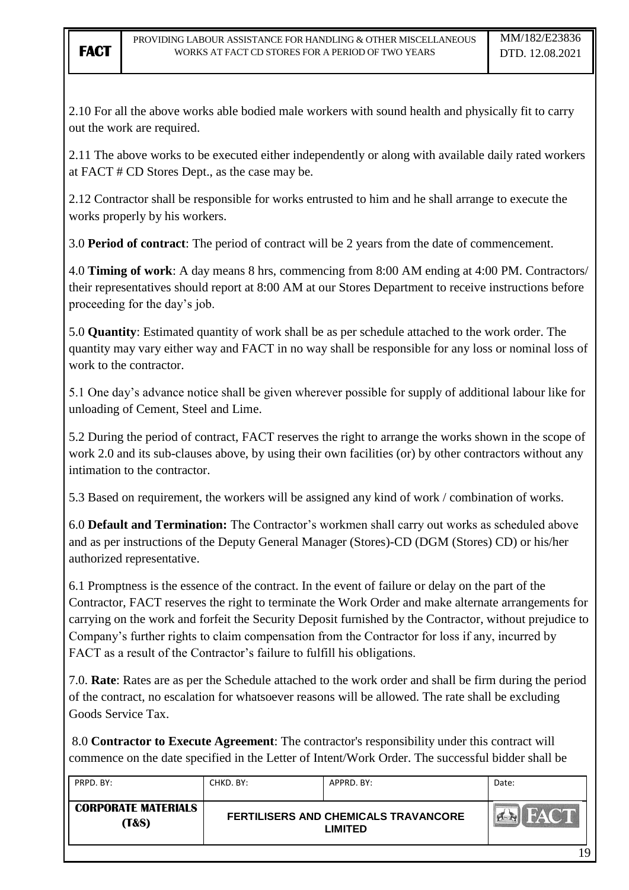2.10 For all the above works able bodied male workers with sound health and physically fit to carry out the work are required.

2.11 The above works to be executed either independently or along with available daily rated workers at FACT # CD Stores Dept., as the case may be.

2.12 Contractor shall be responsible for works entrusted to him and he shall arrange to execute the works properly by his workers.

3.0 **Period of contract**: The period of contract will be 2 years from the date of commencement.

4.0 **Timing of work**: A day means 8 hrs, commencing from 8:00 AM ending at 4:00 PM. Contractors/ their representatives should report at 8:00 AM at our Stores Department to receive instructions before proceeding for the day"s job.

5.0 **Quantity**: Estimated quantity of work shall be as per schedule attached to the work order. The quantity may vary either way and FACT in no way shall be responsible for any loss or nominal loss of work to the contractor.

5.1 One day"s advance notice shall be given wherever possible for supply of additional labour like for unloading of Cement, Steel and Lime.

5.2 During the period of contract, FACT reserves the right to arrange the works shown in the scope of work 2.0 and its sub-clauses above, by using their own facilities (or) by other contractors without any intimation to the contractor.

5.3 Based on requirement, the workers will be assigned any kind of work / combination of works.

6.0 **Default and Termination:** The Contractor"s workmen shall carry out works as scheduled above and as per instructions of the Deputy General Manager (Stores)-CD (DGM (Stores) CD) or his/her authorized representative.

6.1 Promptness is the essence of the contract. In the event of failure or delay on the part of the Contractor, FACT reserves the right to terminate the Work Order and make alternate arrangements for carrying on the work and forfeit the Security Deposit furnished by the Contractor, without prejudice to Company"s further rights to claim compensation from the Contractor for loss if any, incurred by FACT as a result of the Contractor's failure to fulfill his obligations.

7.0. **Rate**: Rates are as per the Schedule attached to the work order and shall be firm during the period of the contract, no escalation for whatsoever reasons will be allowed. The rate shall be excluding Goods Service Tax.

8.0 **Contractor to Execute Agreement**: The contractor's responsibility under this contract will commence on the date specified in the Letter of Intent/Work Order. The successful bidder shall be

| PRPD. BY:                                      | CHKD. BY: | APPRD. BY:                                                    | Date: |
|------------------------------------------------|-----------|---------------------------------------------------------------|-------|
| <b>CORPORATE MATERIALS</b><br><b>(T&amp;S)</b> |           | <b>FERTILISERS AND CHEMICALS TRAVANCORE</b><br><b>LIMITED</b> |       |
|                                                |           |                                                               | 1 ∩   |

19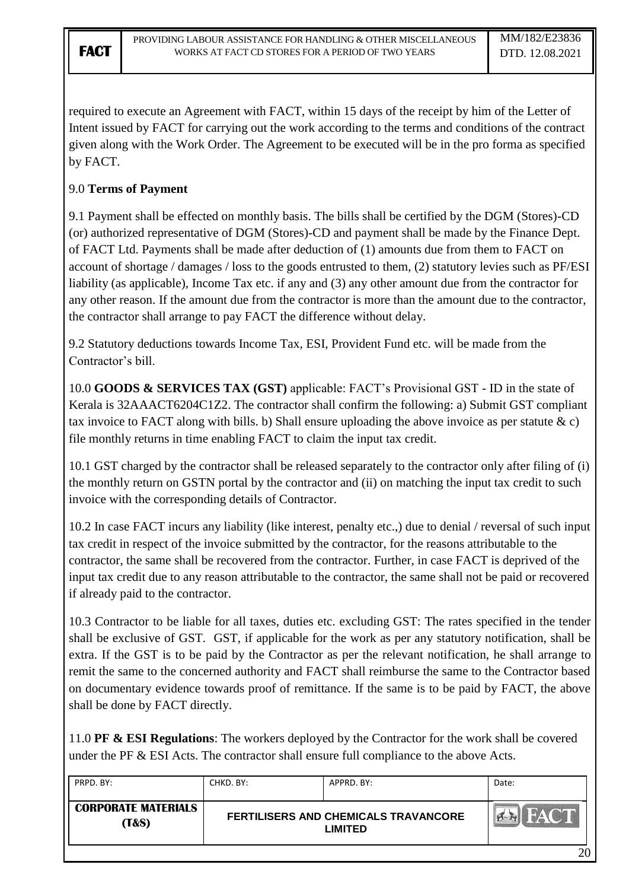required to execute an Agreement with FACT, within 15 days of the receipt by him of the Letter of Intent issued by FACT for carrying out the work according to the terms and conditions of the contract given along with the Work Order. The Agreement to be executed will be in the pro forma as specified by FACT.

## 9.0 **Terms of Payment**

9.1 Payment shall be effected on monthly basis. The bills shall be certified by the DGM (Stores)-CD (or) authorized representative of DGM (Stores)-CD and payment shall be made by the Finance Dept. of FACT Ltd. Payments shall be made after deduction of (1) amounts due from them to FACT on account of shortage / damages / loss to the goods entrusted to them, (2) statutory levies such as PF/ESI liability (as applicable), Income Tax etc. if any and (3) any other amount due from the contractor for any other reason. If the amount due from the contractor is more than the amount due to the contractor, the contractor shall arrange to pay FACT the difference without delay.

9.2 Statutory deductions towards Income Tax, ESI, Provident Fund etc. will be made from the Contractor's bill.

10.0 **GOODS & SERVICES TAX (GST)** applicable: FACT"s Provisional GST - ID in the state of Kerala is 32AAACT6204C1Z2. The contractor shall confirm the following: a) Submit GST compliant tax invoice to FACT along with bills. b) Shall ensure uploading the above invoice as per statute  $\& c$ ) file monthly returns in time enabling FACT to claim the input tax credit.

10.1 GST charged by the contractor shall be released separately to the contractor only after filing of (i) the monthly return on GSTN portal by the contractor and (ii) on matching the input tax credit to such invoice with the corresponding details of Contractor.

10.2 In case FACT incurs any liability (like interest, penalty etc.,) due to denial / reversal of such input tax credit in respect of the invoice submitted by the contractor, for the reasons attributable to the contractor, the same shall be recovered from the contractor. Further, in case FACT is deprived of the input tax credit due to any reason attributable to the contractor, the same shall not be paid or recovered if already paid to the contractor.

10.3 Contractor to be liable for all taxes, duties etc. excluding GST: The rates specified in the tender shall be exclusive of GST. GST, if applicable for the work as per any statutory notification, shall be extra. If the GST is to be paid by the Contractor as per the relevant notification, he shall arrange to remit the same to the concerned authority and FACT shall reimburse the same to the Contractor based on documentary evidence towards proof of remittance. If the same is to be paid by FACT, the above shall be done by FACT directly.

11.0 **PF & ESI Regulations**: The workers deployed by the Contractor for the work shall be covered under the PF & ESI Acts. The contractor shall ensure full compliance to the above Acts.

| PRPD, BY:                           | CHKD. BY:                                              | APPRD, BY: | Date: |
|-------------------------------------|--------------------------------------------------------|------------|-------|
| <b>CORPORATE MATERIALS</b><br>(T&S) | <b>FERTILISERS AND CHEMICALS TRAVANCORE</b><br>LIMITED |            |       |
|                                     |                                                        |            | ንበ    |

20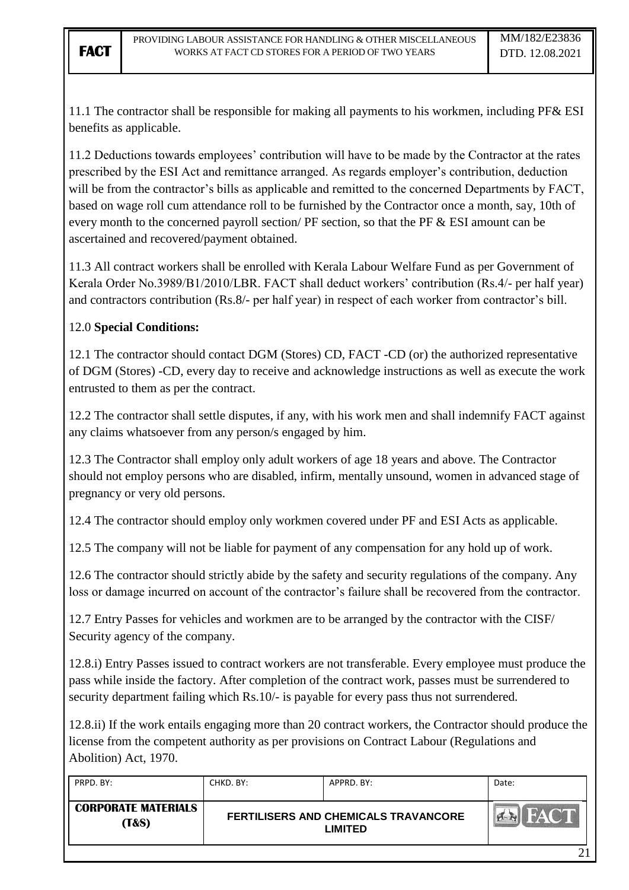11.1 The contractor shall be responsible for making all payments to his workmen, including PF& ESI benefits as applicable.

11.2 Deductions towards employees" contribution will have to be made by the Contractor at the rates prescribed by the ESI Act and remittance arranged. As regards employer's contribution, deduction will be from the contractor's bills as applicable and remitted to the concerned Departments by FACT, based on wage roll cum attendance roll to be furnished by the Contractor once a month, say, 10th of every month to the concerned payroll section/ PF section, so that the PF & ESI amount can be ascertained and recovered/payment obtained.

11.3 All contract workers shall be enrolled with Kerala Labour Welfare Fund as per Government of Kerala Order No.3989/B1/2010/LBR. FACT shall deduct workers' contribution (Rs.4/- per half year) and contractors contribution (Rs.8/- per half year) in respect of each worker from contractor's bill.

### 12.0 **Special Conditions:**

12.1 The contractor should contact DGM (Stores) CD, FACT -CD (or) the authorized representative of DGM (Stores) -CD, every day to receive and acknowledge instructions as well as execute the work entrusted to them as per the contract.

12.2 The contractor shall settle disputes, if any, with his work men and shall indemnify FACT against any claims whatsoever from any person/s engaged by him.

12.3 The Contractor shall employ only adult workers of age 18 years and above. The Contractor should not employ persons who are disabled, infirm, mentally unsound, women in advanced stage of pregnancy or very old persons.

12.4 The contractor should employ only workmen covered under PF and ESI Acts as applicable.

12.5 The company will not be liable for payment of any compensation for any hold up of work.

12.6 The contractor should strictly abide by the safety and security regulations of the company. Any loss or damage incurred on account of the contractor's failure shall be recovered from the contractor.

12.7 Entry Passes for vehicles and workmen are to be arranged by the contractor with the CISF/ Security agency of the company.

12.8.i) Entry Passes issued to contract workers are not transferable. Every employee must produce the pass while inside the factory. After completion of the contract work, passes must be surrendered to security department failing which Rs.10/- is payable for every pass thus not surrendered.

12.8.ii) If the work entails engaging more than 20 contract workers, the Contractor should produce the license from the competent authority as per provisions on Contract Labour (Regulations and Abolition) Act, 1970.

| PRPD. BY:                                      | CHKD. BY: | APPRD. BY:                                             | Date: |
|------------------------------------------------|-----------|--------------------------------------------------------|-------|
| <b>CORPORATE MATERIALS</b><br><b>(T&amp;S)</b> |           | FERTILISERS AND CHEMICALS TRAVANCORE<br><b>LIMITED</b> |       |
|                                                |           |                                                        |       |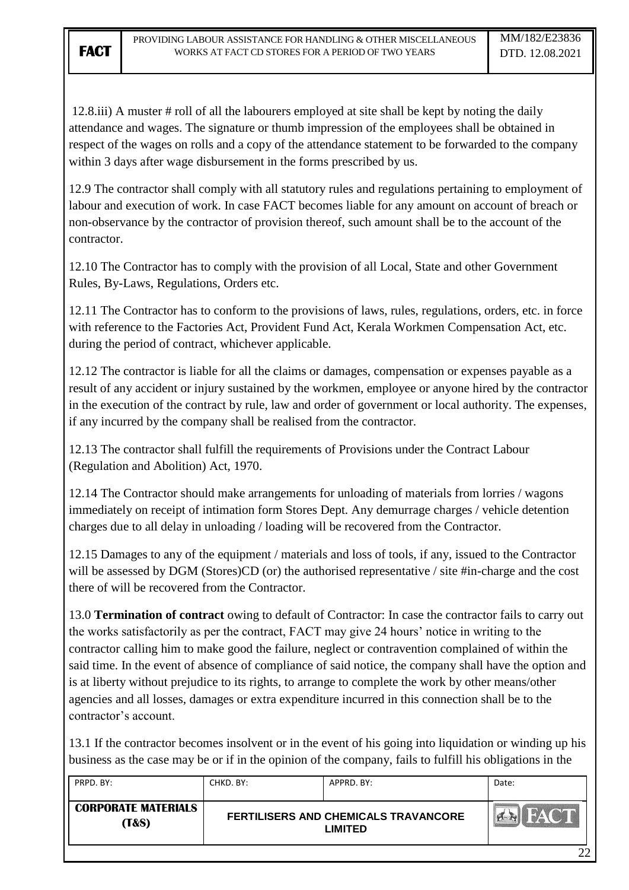12.8.iii) A muster # roll of all the labourers employed at site shall be kept by noting the daily attendance and wages. The signature or thumb impression of the employees shall be obtained in respect of the wages on rolls and a copy of the attendance statement to be forwarded to the company within 3 days after wage disbursement in the forms prescribed by us.

12.9 The contractor shall comply with all statutory rules and regulations pertaining to employment of labour and execution of work. In case FACT becomes liable for any amount on account of breach or non-observance by the contractor of provision thereof, such amount shall be to the account of the contractor.

12.10 The Contractor has to comply with the provision of all Local, State and other Government Rules, By-Laws, Regulations, Orders etc.

12.11 The Contractor has to conform to the provisions of laws, rules, regulations, orders, etc. in force with reference to the Factories Act, Provident Fund Act, Kerala Workmen Compensation Act, etc. during the period of contract, whichever applicable.

12.12 The contractor is liable for all the claims or damages, compensation or expenses payable as a result of any accident or injury sustained by the workmen, employee or anyone hired by the contractor in the execution of the contract by rule, law and order of government or local authority. The expenses, if any incurred by the company shall be realised from the contractor.

12.13 The contractor shall fulfill the requirements of Provisions under the Contract Labour (Regulation and Abolition) Act, 1970.

12.14 The Contractor should make arrangements for unloading of materials from lorries / wagons immediately on receipt of intimation form Stores Dept. Any demurrage charges / vehicle detention charges due to all delay in unloading / loading will be recovered from the Contractor.

12.15 Damages to any of the equipment / materials and loss of tools, if any, issued to the Contractor will be assessed by DGM (Stores)CD (or) the authorised representative / site #in-charge and the cost there of will be recovered from the Contractor.

13.0 **Termination of contract** owing to default of Contractor: In case the contractor fails to carry out the works satisfactorily as per the contract, FACT may give 24 hours' notice in writing to the contractor calling him to make good the failure, neglect or contravention complained of within the said time. In the event of absence of compliance of said notice, the company shall have the option and is at liberty without prejudice to its rights, to arrange to complete the work by other means/other agencies and all losses, damages or extra expenditure incurred in this connection shall be to the contractor"s account.

13.1 If the contractor becomes insolvent or in the event of his going into liquidation or winding up his business as the case may be or if in the opinion of the company, fails to fulfill his obligations in the

| PRPD. BY:                                      | CHKD. BY: | APPRD. BY:                                             | Date: |
|------------------------------------------------|-----------|--------------------------------------------------------|-------|
| <b>CORPORATE MATERIALS</b><br><b>(T&amp;S)</b> |           | FERTILISERS AND CHEMICALS TRAVANCORE<br><b>LIMITED</b> |       |
|                                                |           |                                                        | ാ     |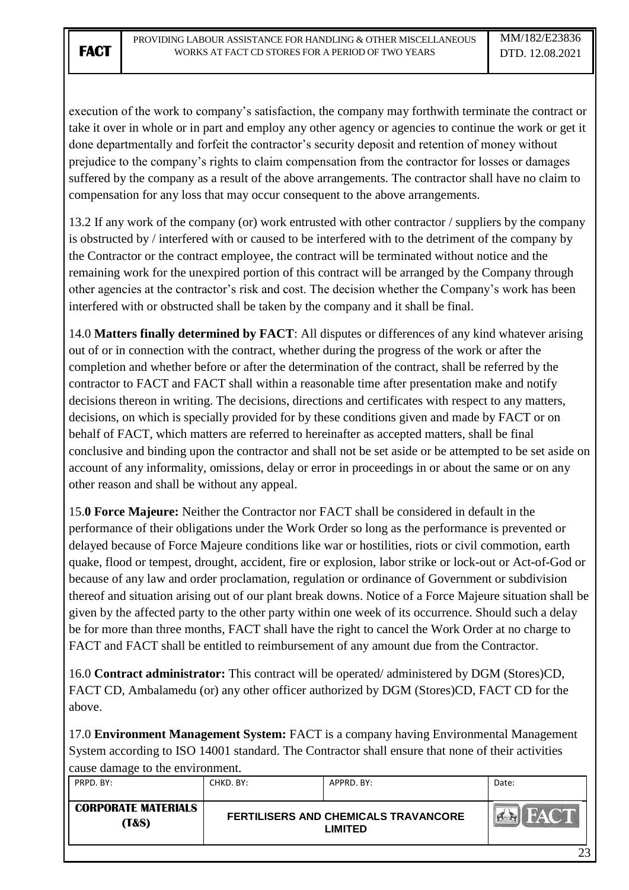execution of the work to company"s satisfaction, the company may forthwith terminate the contract or take it over in whole or in part and employ any other agency or agencies to continue the work or get it done departmentally and forfeit the contractor's security deposit and retention of money without prejudice to the company"s rights to claim compensation from the contractor for losses or damages suffered by the company as a result of the above arrangements. The contractor shall have no claim to compensation for any loss that may occur consequent to the above arrangements.

13.2 If any work of the company (or) work entrusted with other contractor / suppliers by the company is obstructed by / interfered with or caused to be interfered with to the detriment of the company by the Contractor or the contract employee, the contract will be terminated without notice and the remaining work for the unexpired portion of this contract will be arranged by the Company through other agencies at the contractor"s risk and cost. The decision whether the Company"s work has been interfered with or obstructed shall be taken by the company and it shall be final.

14.0 **Matters finally determined by FACT**: All disputes or differences of any kind whatever arising out of or in connection with the contract, whether during the progress of the work or after the completion and whether before or after the determination of the contract, shall be referred by the contractor to FACT and FACT shall within a reasonable time after presentation make and notify decisions thereon in writing. The decisions, directions and certificates with respect to any matters, decisions, on which is specially provided for by these conditions given and made by FACT or on behalf of FACT, which matters are referred to hereinafter as accepted matters, shall be final conclusive and binding upon the contractor and shall not be set aside or be attempted to be set aside on account of any informality, omissions, delay or error in proceedings in or about the same or on any other reason and shall be without any appeal.

15.**0 Force Majeure:** Neither the Contractor nor FACT shall be considered in default in the performance of their obligations under the Work Order so long as the performance is prevented or delayed because of Force Majeure conditions like war or hostilities, riots or civil commotion, earth quake, flood or tempest, drought, accident, fire or explosion, labor strike or lock-out or Act-of-God or because of any law and order proclamation, regulation or ordinance of Government or subdivision thereof and situation arising out of our plant break downs. Notice of a Force Majeure situation shall be given by the affected party to the other party within one week of its occurrence. Should such a delay be for more than three months, FACT shall have the right to cancel the Work Order at no charge to FACT and FACT shall be entitled to reimbursement of any amount due from the Contractor.

16.0 **Contract administrator:** This contract will be operated/ administered by DGM (Stores)CD, FACT CD, Ambalamedu (or) any other officer authorized by DGM (Stores)CD, FACT CD for the above.

17.0 **Environment Management System:** FACT is a company having Environmental Management System according to ISO 14001 standard. The Contractor shall ensure that none of their activities cause damage to the environment.

| PRPD. BY:                           | CHKD. BY: | APPRD. BY:                                                    | Date: |
|-------------------------------------|-----------|---------------------------------------------------------------|-------|
| <b>CORPORATE MATERIALS</b><br>(T&S) |           | <b>FERTILISERS AND CHEMICALS TRAVANCORE</b><br><b>LIMITED</b> |       |
|                                     |           |                                                               | າາ    |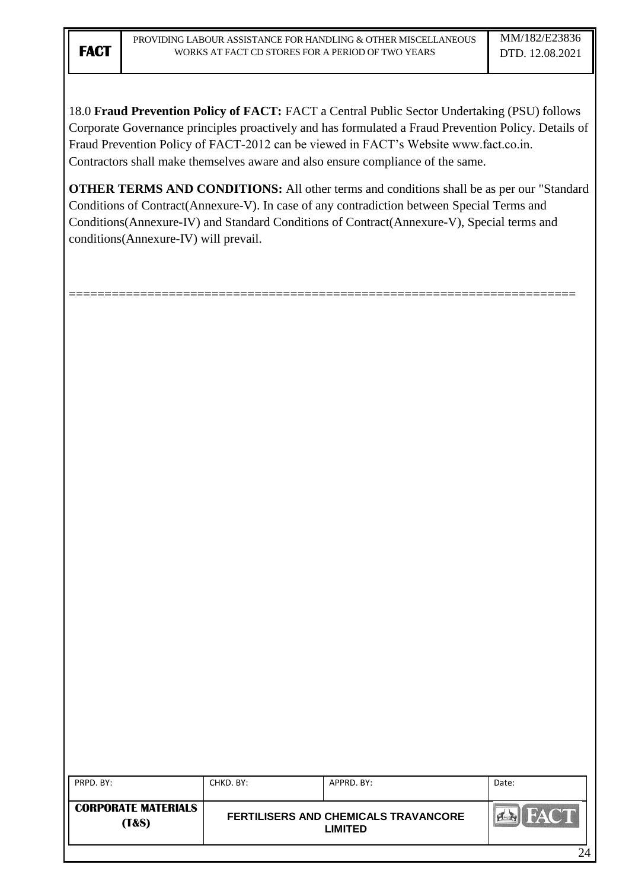18.0 **Fraud Prevention Policy of FACT:** FACT a Central Public Sector Undertaking (PSU) follows Corporate Governance principles proactively and has formulated a Fraud Prevention Policy. Details of Fraud Prevention Policy of FACT-2012 can be viewed in FACT"s Website www.fact.co.in. Contractors shall make themselves aware and also ensure compliance of the same.

**OTHER TERMS AND CONDITIONS:** All other terms and conditions shall be as per our "Standard Conditions of Contract(Annexure-V). In case of any contradiction between Special Terms and Conditions(Annexure-IV) and Standard Conditions of Contract(Annexure-V), Special terms and conditions(Annexure-IV) will prevail.

=======================================================================

| PRPD. BY:                           | CHKD. BY: | APPRD. BY:                                                    | Date: |
|-------------------------------------|-----------|---------------------------------------------------------------|-------|
| <b>CORPORATE MATERIALS</b><br>(T&S) |           | <b>FERTILISERS AND CHEMICALS TRAVANCORE</b><br><b>LIMITED</b> | FACT  |
|                                     |           |                                                               | 24    |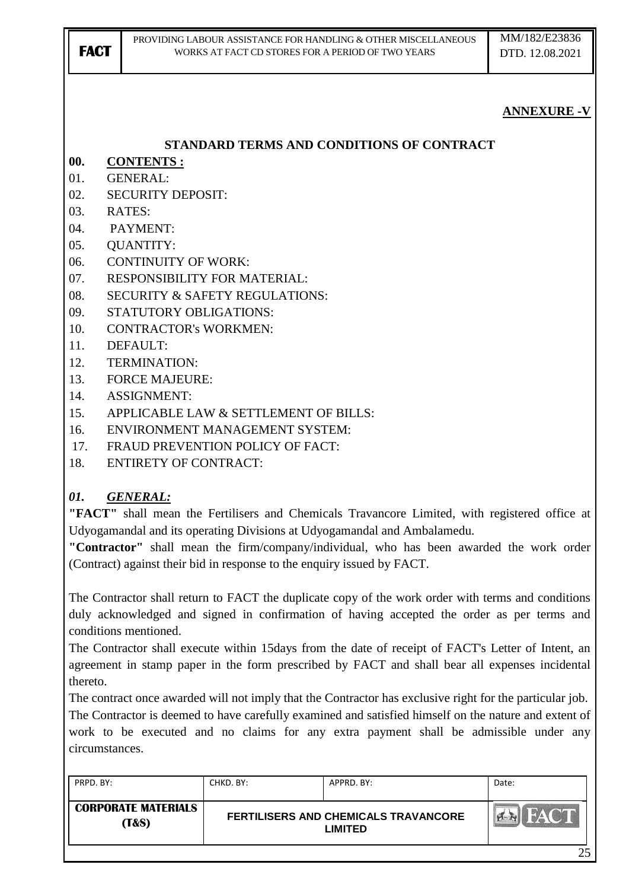| <b>FACT</b> | PROVIDING LABOUR ASSISTANCE FOR HANDLING & OTHER MISCELLANEOUS<br>WORKS AT FACT CD STORES FOR A PERIOD OF TWO YEARS | MM/182/E23836<br>DTD. 12.08.2021 |
|-------------|---------------------------------------------------------------------------------------------------------------------|----------------------------------|
|             |                                                                                                                     | <b>ANNEXURE -V</b>               |
|             | STANDARD TERMS AND CONDITIONS OF CONTRACT                                                                           |                                  |
| 00.         | <b>CONTENTS:</b>                                                                                                    |                                  |
| 01.         | <b>GENERAL:</b>                                                                                                     |                                  |
| 02.         | <b>SECURITY DEPOSIT:</b>                                                                                            |                                  |
| 03.         | RATES:                                                                                                              |                                  |
| 04.         | PAYMENT:                                                                                                            |                                  |
| 05.         | <b>QUANTITY:</b>                                                                                                    |                                  |
| 06.         | <b>CONTINUITY OF WORK:</b>                                                                                          |                                  |
| 07.         | RESPONSIBILITY FOR MATERIAL:                                                                                        |                                  |
| 08.         | <b>SECURITY &amp; SAFETY REGULATIONS:</b>                                                                           |                                  |
| 09.         | STATUTORY OBLIGATIONS:                                                                                              |                                  |
| 10.         | <b>CONTRACTOR's WORKMEN:</b>                                                                                        |                                  |
| 11.         | DEFAULT:                                                                                                            |                                  |
| 12.         | <b>TERMINATION:</b>                                                                                                 |                                  |
| 13.         | <b>FORCE MAJEURE:</b>                                                                                               |                                  |
| 14.         | <b>ASSIGNMENT:</b>                                                                                                  |                                  |
| 15.         | APPLICABLE LAW & SETTLEMENT OF BILLS:<br><b>ENVIRONMENT MANAGEMENT SYSTEM:</b>                                      |                                  |
| 16.<br>17.  | FRAUD PREVENTION POLICY OF FACT:                                                                                    |                                  |
| 18.         | <b>ENTIRETY OF CONTRACT:</b>                                                                                        |                                  |
|             |                                                                                                                     |                                  |
| 01.         | <b>GENERAL:</b>                                                                                                     |                                  |
|             | "FACT" shall mean the Fertilisers and Chemicals Travancore Limited, with registered office at                       |                                  |
|             | Udyogamandal and its operating Divisions at Udyogamandal and Ambalamedu.                                            |                                  |

**"Contractor"** shall mean the firm/company/individual, who has been awarded the work order (Contract) against their bid in response to the enquiry issued by FACT.

The Contractor shall return to FACT the duplicate copy of the work order with terms and conditions duly acknowledged and signed in confirmation of having accepted the order as per terms and conditions mentioned.

The Contractor shall execute within 15days from the date of receipt of FACT's Letter of Intent, an agreement in stamp paper in the form prescribed by FACT and shall bear all expenses incidental thereto.

The contract once awarded will not imply that the Contractor has exclusive right for the particular job. The Contractor is deemed to have carefully examined and satisfied himself on the nature and extent of work to be executed and no claims for any extra payment shall be admissible under any circumstances.

| PRPD, BY:                                      | CHKD, BY:                                                     | APPRD. BY: | Date:       |
|------------------------------------------------|---------------------------------------------------------------|------------|-------------|
| <b>CORPORATE MATERIALS</b><br><b>(T&amp;S)</b> | <b>FERTILISERS AND CHEMICALS TRAVANCORE</b><br><b>LIMITED</b> |            | <b>FACT</b> |
|                                                |                                                               |            | า<          |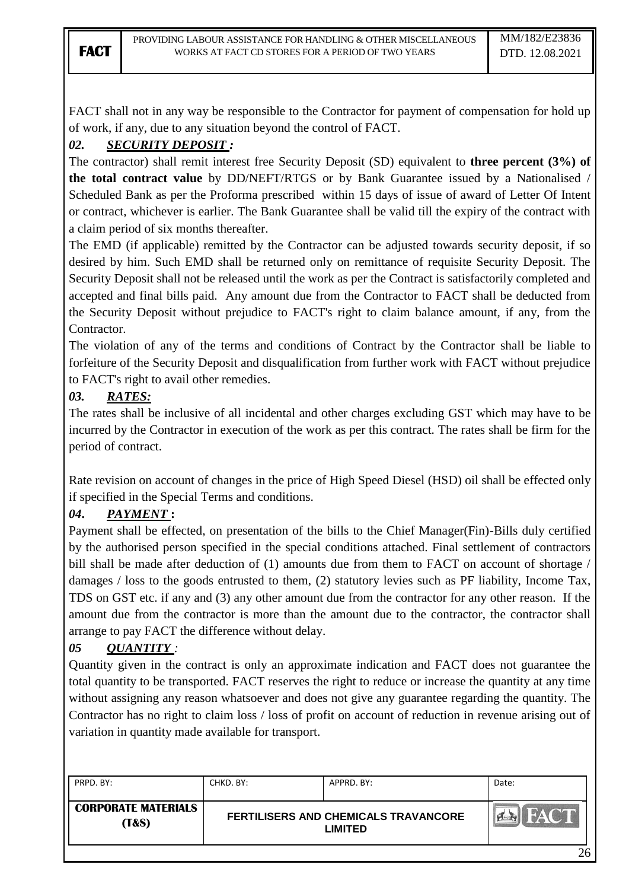FACT shall not in any way be responsible to the Contractor for payment of compensation for hold up of work, if any, due to any situation beyond the control of FACT.

## *02. SECURITY DEPOSIT :*

The contractor) shall remit interest free Security Deposit (SD) equivalent to **three percent (3%) of the total contract value** by DD/NEFT/RTGS or by Bank Guarantee issued by a Nationalised / Scheduled Bank as per the Proforma prescribed within 15 days of issue of award of Letter Of Intent or contract, whichever is earlier. The Bank Guarantee shall be valid till the expiry of the contract with a claim period of six months thereafter.

The EMD (if applicable) remitted by the Contractor can be adjusted towards security deposit, if so desired by him. Such EMD shall be returned only on remittance of requisite Security Deposit. The Security Deposit shall not be released until the work as per the Contract is satisfactorily completed and accepted and final bills paid. Any amount due from the Contractor to FACT shall be deducted from the Security Deposit without prejudice to FACT's right to claim balance amount, if any, from the Contractor.

The violation of any of the terms and conditions of Contract by the Contractor shall be liable to forfeiture of the Security Deposit and disqualification from further work with FACT without prejudice to FACT's right to avail other remedies.

## *03. RATES:*

The rates shall be inclusive of all incidental and other charges excluding GST which may have to be incurred by the Contractor in execution of the work as per this contract. The rates shall be firm for the period of contract.

Rate revision on account of changes in the price of High Speed Diesel (HSD) oil shall be effected only if specified in the Special Terms and conditions.

## *04***.** *PAYMENT* **:**

Payment shall be effected, on presentation of the bills to the Chief Manager(Fin)-Bills duly certified by the authorised person specified in the special conditions attached. Final settlement of contractors bill shall be made after deduction of (1) amounts due from them to FACT on account of shortage / damages / loss to the goods entrusted to them, (2) statutory levies such as PF liability, Income Tax, TDS on GST etc. if any and (3) any other amount due from the contractor for any other reason. If the amount due from the contractor is more than the amount due to the contractor, the contractor shall arrange to pay FACT the difference without delay.

## *05 QUANTITY :*

Quantity given in the contract is only an approximate indication and FACT does not guarantee the total quantity to be transported. FACT reserves the right to reduce or increase the quantity at any time without assigning any reason whatsoever and does not give any guarantee regarding the quantity. The Contractor has no right to claim loss / loss of profit on account of reduction in revenue arising out of variation in quantity made available for transport.

| PRPD, BY:                                      | CHKD. BY:                                                     | APPRD. BY: | Date:       |
|------------------------------------------------|---------------------------------------------------------------|------------|-------------|
| <b>CORPORATE MATERIALS</b><br><b>(T&amp;S)</b> | <b>FERTILISERS AND CHEMICALS TRAVANCORE</b><br><b>LIMITED</b> |            | <b>FACT</b> |
|                                                |                                                               |            | 26          |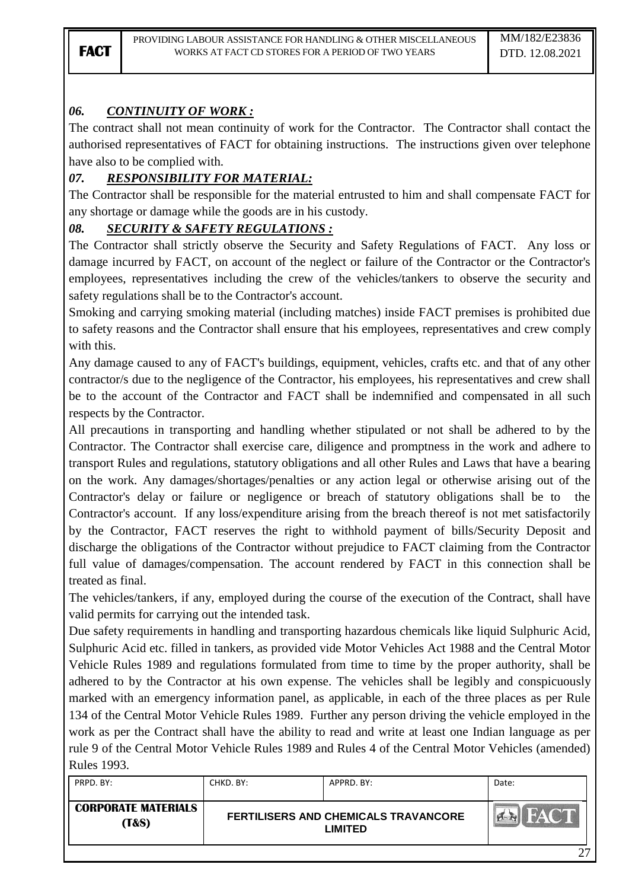# *06. CONTINUITY OF WORK :*

The contract shall not mean continuity of work for the Contractor. The Contractor shall contact the authorised representatives of FACT for obtaining instructions. The instructions given over telephone have also to be complied with.

# *07. RESPONSIBILITY FOR MATERIAL:*

The Contractor shall be responsible for the material entrusted to him and shall compensate FACT for any shortage or damage while the goods are in his custody.

## *08. SECURITY & SAFETY REGULATIONS :*

The Contractor shall strictly observe the Security and Safety Regulations of FACT. Any loss or damage incurred by FACT, on account of the neglect or failure of the Contractor or the Contractor's employees, representatives including the crew of the vehicles/tankers to observe the security and safety regulations shall be to the Contractor's account.

Smoking and carrying smoking material (including matches) inside FACT premises is prohibited due to safety reasons and the Contractor shall ensure that his employees, representatives and crew comply with this.

Any damage caused to any of FACT's buildings, equipment, vehicles, crafts etc. and that of any other contractor/s due to the negligence of the Contractor, his employees, his representatives and crew shall be to the account of the Contractor and FACT shall be indemnified and compensated in all such respects by the Contractor.

All precautions in transporting and handling whether stipulated or not shall be adhered to by the Contractor. The Contractor shall exercise care, diligence and promptness in the work and adhere to transport Rules and regulations, statutory obligations and all other Rules and Laws that have a bearing on the work. Any damages/shortages/penalties or any action legal or otherwise arising out of the Contractor's delay or failure or negligence or breach of statutory obligations shall be to the Contractor's account. If any loss/expenditure arising from the breach thereof is not met satisfactorily by the Contractor, FACT reserves the right to withhold payment of bills/Security Deposit and discharge the obligations of the Contractor without prejudice to FACT claiming from the Contractor full value of damages/compensation. The account rendered by FACT in this connection shall be treated as final.

The vehicles/tankers, if any, employed during the course of the execution of the Contract, shall have valid permits for carrying out the intended task.

Due safety requirements in handling and transporting hazardous chemicals like liquid Sulphuric Acid, Sulphuric Acid etc. filled in tankers, as provided vide Motor Vehicles Act 1988 and the Central Motor Vehicle Rules 1989 and regulations formulated from time to time by the proper authority, shall be adhered to by the Contractor at his own expense. The vehicles shall be legibly and conspicuously marked with an emergency information panel, as applicable, in each of the three places as per Rule 134 of the Central Motor Vehicle Rules 1989. Further any person driving the vehicle employed in the work as per the Contract shall have the ability to read and write at least one Indian language as per rule 9 of the Central Motor Vehicle Rules 1989 and Rules 4 of the Central Motor Vehicles (amended) Rules 1993.

| PRPD. BY:                           | CHKD. BY: | APPRD, BY:                                             | Date: |
|-------------------------------------|-----------|--------------------------------------------------------|-------|
| <b>CORPORATE MATERIALS</b><br>(T&S) |           | <b>FERTILISERS AND CHEMICALS TRAVANCORE</b><br>LIMITED |       |
|                                     |           |                                                        | ^¬    |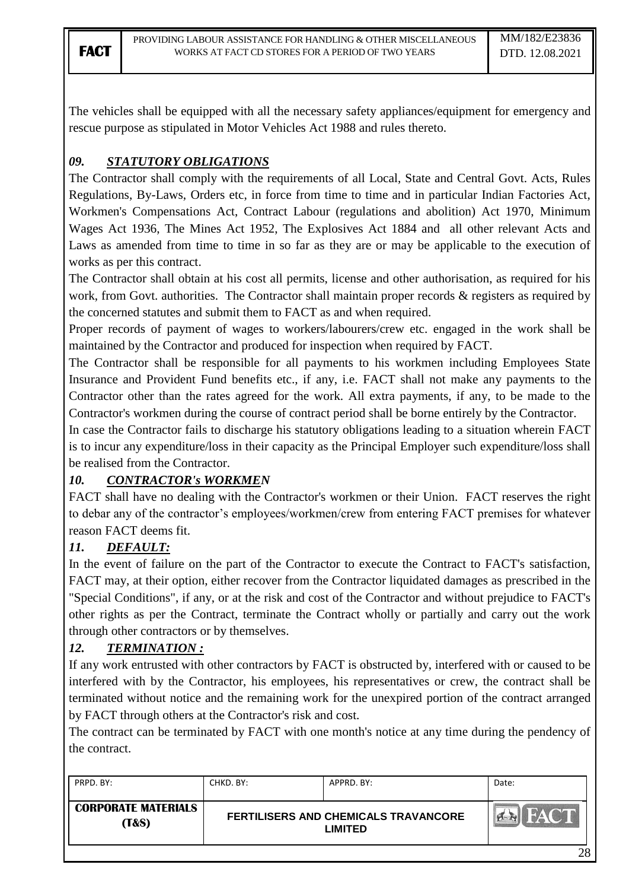The vehicles shall be equipped with all the necessary safety appliances/equipment for emergency and rescue purpose as stipulated in Motor Vehicles Act 1988 and rules thereto.

# *09. STATUTORY OBLIGATIONS*

The Contractor shall comply with the requirements of all Local, State and Central Govt. Acts, Rules Regulations, By-Laws, Orders etc, in force from time to time and in particular Indian Factories Act, Workmen's Compensations Act, Contract Labour (regulations and abolition) Act 1970, Minimum Wages Act 1936, The Mines Act 1952, The Explosives Act 1884 and all other relevant Acts and Laws as amended from time to time in so far as they are or may be applicable to the execution of works as per this contract.

The Contractor shall obtain at his cost all permits, license and other authorisation, as required for his work, from Govt. authorities. The Contractor shall maintain proper records & registers as required by the concerned statutes and submit them to FACT as and when required.

Proper records of payment of wages to workers/labourers/crew etc. engaged in the work shall be maintained by the Contractor and produced for inspection when required by FACT.

The Contractor shall be responsible for all payments to his workmen including Employees State Insurance and Provident Fund benefits etc., if any, i.e. FACT shall not make any payments to the Contractor other than the rates agreed for the work. All extra payments, if any, to be made to the Contractor's workmen during the course of contract period shall be borne entirely by the Contractor.

In case the Contractor fails to discharge his statutory obligations leading to a situation wherein FACT is to incur any expenditure/loss in their capacity as the Principal Employer such expenditure/loss shall be realised from the Contractor.

## *10. CONTRACTOR's WORKMEN*

FACT shall have no dealing with the Contractor's workmen or their Union. FACT reserves the right to debar any of the contractor's employees/workmen/crew from entering FACT premises for whatever reason FACT deems fit.

## *11. DEFAULT:*

In the event of failure on the part of the Contractor to execute the Contract to FACT's satisfaction, FACT may, at their option, either recover from the Contractor liquidated damages as prescribed in the "Special Conditions", if any, or at the risk and cost of the Contractor and without prejudice to FACT's other rights as per the Contract, terminate the Contract wholly or partially and carry out the work through other contractors or by themselves.

# *12. TERMINATION :*

If any work entrusted with other contractors by FACT is obstructed by, interfered with or caused to be interfered with by the Contractor, his employees, his representatives or crew, the contract shall be terminated without notice and the remaining work for the unexpired portion of the contract arranged by FACT through others at the Contractor's risk and cost.

The contract can be terminated by FACT with one month's notice at any time during the pendency of the contract.

| PRPD. BY:                                      | CHKD. BY:                                                     | APPRD. BY: | Date:       |
|------------------------------------------------|---------------------------------------------------------------|------------|-------------|
| <b>CORPORATE MATERIALS</b><br><b>(T&amp;S)</b> | <b>FERTILISERS AND CHEMICALS TRAVANCORE</b><br><b>LIMITED</b> |            | <b>HACT</b> |
|                                                |                                                               |            | 28          |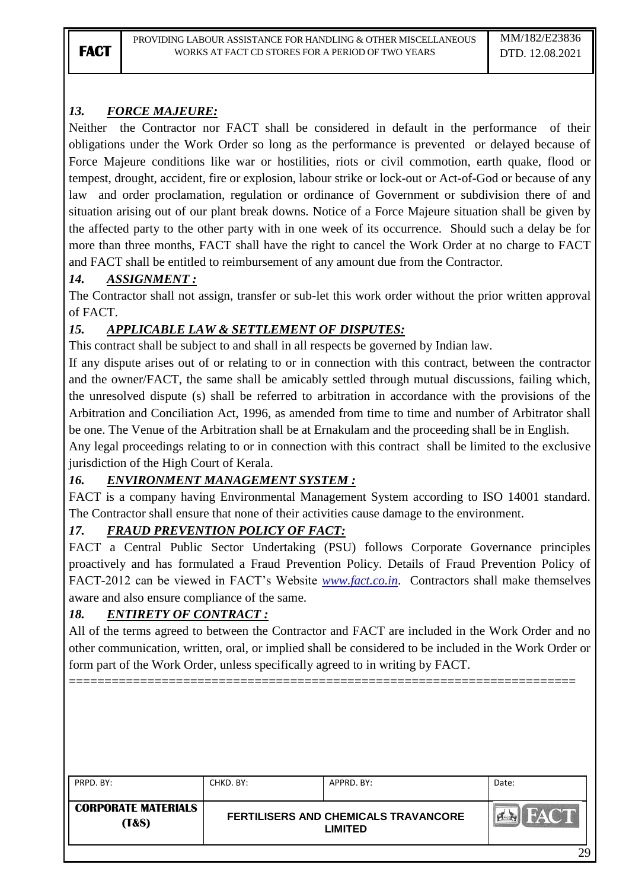# *13. FORCE MAJEURE:*

Neither the Contractor nor FACT shall be considered in default in the performance of their obligations under the Work Order so long as the performance is prevented or delayed because of Force Majeure conditions like war or hostilities, riots or civil commotion, earth quake, flood or tempest, drought, accident, fire or explosion, labour strike or lock-out or Act-of-God or because of any law and order proclamation, regulation or ordinance of Government or subdivision there of and situation arising out of our plant break downs. Notice of a Force Majeure situation shall be given by the affected party to the other party with in one week of its occurrence. Should such a delay be for more than three months, FACT shall have the right to cancel the Work Order at no charge to FACT and FACT shall be entitled to reimbursement of any amount due from the Contractor.

# *14. ASSIGNMENT :*

The Contractor shall not assign, transfer or sub-let this work order without the prior written approval of FACT.

# *15. APPLICABLE LAW & SETTLEMENT OF DISPUTES:*

This contract shall be subject to and shall in all respects be governed by Indian law.

If any dispute arises out of or relating to or in connection with this contract, between the contractor and the owner/FACT, the same shall be amicably settled through mutual discussions, failing which, the unresolved dispute (s) shall be referred to arbitration in accordance with the provisions of the Arbitration and Conciliation Act, 1996, as amended from time to time and number of Arbitrator shall be one. The Venue of the Arbitration shall be at Ernakulam and the proceeding shall be in English.

Any legal proceedings relating to or in connection with this contract shall be limited to the exclusive jurisdiction of the High Court of Kerala.

# *16. ENVIRONMENT MANAGEMENT SYSTEM :*

FACT is a company having Environmental Management System according to ISO 14001 standard. The Contractor shall ensure that none of their activities cause damage to the environment.

# *17. FRAUD PREVENTION POLICY OF FACT:*

FACT a Central Public Sector Undertaking (PSU) follows Corporate Governance principles proactively and has formulated a Fraud Prevention Policy. Details of Fraud Prevention Policy of FACT-2012 can be viewed in FACT"s Website *[www.fact.co.in](http://www.fact.co.in/)*. Contractors shall make themselves aware and also ensure compliance of the same.

# *18. ENTIRETY OF CONTRACT :*

All of the terms agreed to between the Contractor and FACT are included in the Work Order and no other communication, written, oral, or implied shall be considered to be included in the Work Order or form part of the Work Order, unless specifically agreed to in writing by FACT.

=======================================================================

| PRPD, BY:                                      | CHKD, BY: | APPRD. BY:                                             | Date: |
|------------------------------------------------|-----------|--------------------------------------------------------|-------|
| <b>CORPORATE MATERIALS</b><br><b>(T&amp;S)</b> |           | FERTILISERS AND CHEMICALS TRAVANCORE<br><b>LIMITED</b> |       |
|                                                |           |                                                        | 29    |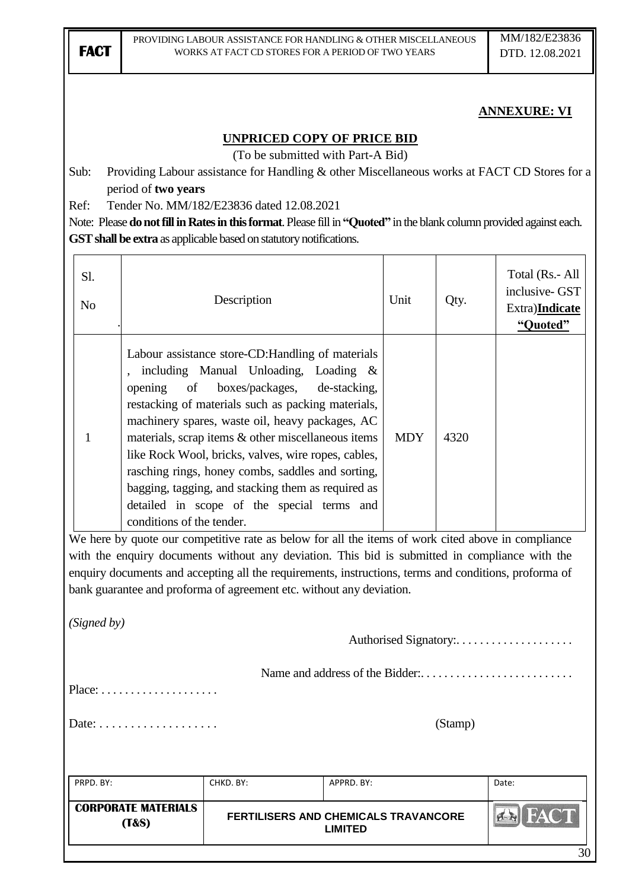# **ANNEXURE: VI**

### **UNPRICED COPY OF PRICE BID**

(To be submitted with Part-A Bid)

Sub: Providing Labour assistance for Handling & other Miscellaneous works at FACT CD Stores for a period of **two years**

Ref: Tender No. MM/182/E23836 dated 12.08.2021

Note: Please **do not fill in Rates in this format**. Please fill in **"Quoted"** in the blank column provided against each. **GST shall be extra** as applicable based on statutory notifications.

|                                                        | <b>CORPORATE MATERIALS</b><br>(T&S)                                                                                                                                                                                                                                                      | <b>FERTILISERS AND CHEMICALS TRAVANCORE</b>                                                                                                                                                                                                                                     | <b>LIMITED</b> |      |      | <b>AN FACT</b>                                                          |
|--------------------------------------------------------|------------------------------------------------------------------------------------------------------------------------------------------------------------------------------------------------------------------------------------------------------------------------------------------|---------------------------------------------------------------------------------------------------------------------------------------------------------------------------------------------------------------------------------------------------------------------------------|----------------|------|------|-------------------------------------------------------------------------|
| PRPD. BY:                                              |                                                                                                                                                                                                                                                                                          | CHKD. BY:                                                                                                                                                                                                                                                                       | APPRD. BY:     |      |      | Date:                                                                   |
| (Stamp)<br>Date: $\dots\dots\dots\dots\dots\dots\dots$ |                                                                                                                                                                                                                                                                                          |                                                                                                                                                                                                                                                                                 |                |      |      |                                                                         |
|                                                        | $Place: \ldots \ldots \ldots \ldots \ldots$                                                                                                                                                                                                                                              |                                                                                                                                                                                                                                                                                 |                |      |      |                                                                         |
|                                                        |                                                                                                                                                                                                                                                                                          |                                                                                                                                                                                                                                                                                 |                |      |      |                                                                         |
| (Signed by)                                            |                                                                                                                                                                                                                                                                                          |                                                                                                                                                                                                                                                                                 |                |      |      |                                                                         |
|                                                        |                                                                                                                                                                                                                                                                                          | with the enquiry documents without any deviation. This bid is submitted in compliance with the<br>enquiry documents and accepting all the requirements, instructions, terms and conditions, proforma of<br>bank guarantee and proforma of agreement etc. without any deviation. |                |      |      |                                                                         |
|                                                        |                                                                                                                                                                                                                                                                                          | We here by quote our competitive rate as below for all the items of work cited above in compliance                                                                                                                                                                              |                |      |      |                                                                         |
| 1                                                      | materials, scrap items & other miscellaneous items<br><b>MDY</b><br>4320<br>like Rock Wool, bricks, valves, wire ropes, cables,<br>rasching rings, honey combs, saddles and sorting,<br>bagging, tagging, and stacking them as required as<br>detailed in scope of the special terms and |                                                                                                                                                                                                                                                                                 |                |      |      |                                                                         |
|                                                        | opening<br>of                                                                                                                                                                                                                                                                            | Labour assistance store-CD: Handling of materials<br>including Manual Unloading, Loading &<br>boxes/packages,<br>restacking of materials such as packing materials,<br>machinery spares, waste oil, heavy packages, AC                                                          | de-stacking,   |      |      |                                                                         |
| Sl.<br>N <sub>o</sub>                                  | Description                                                                                                                                                                                                                                                                              |                                                                                                                                                                                                                                                                                 |                | Unit | Qty. | Total (Rs.- All<br>inclusive- GST<br>Extra) <b>Indicate</b><br>"Quoted" |
|                                                        |                                                                                                                                                                                                                                                                                          |                                                                                                                                                                                                                                                                                 |                |      |      |                                                                         |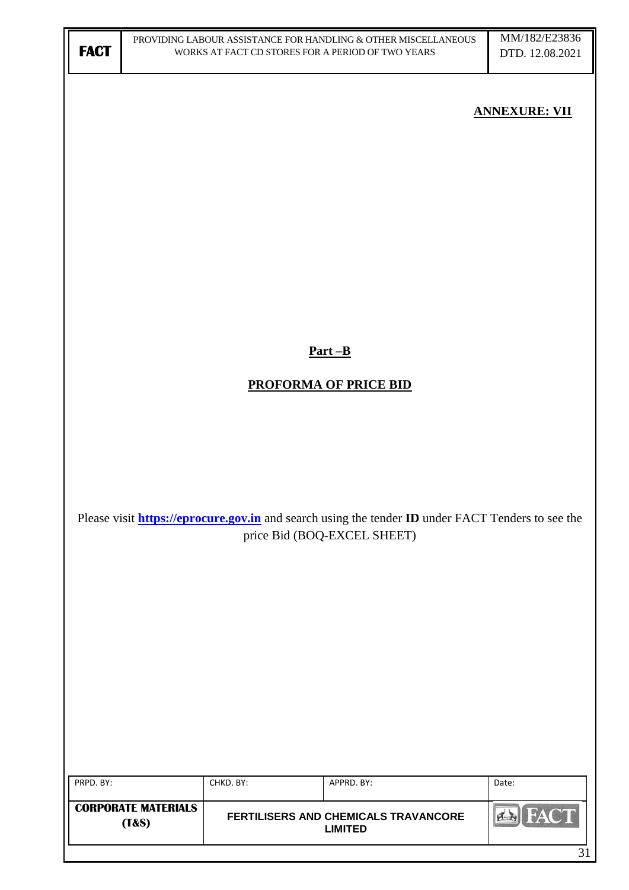| <b>FACT</b> |                            |           | PROVIDING LABOUR ASSISTANCE FOR HANDLING & OTHER MISCELLANEOUS<br>WORKS AT FACT CD STORES FOR A PERIOD OF TWO YEARS | MM/182/E23836<br>DTD. 12.08.2021 |
|-------------|----------------------------|-----------|---------------------------------------------------------------------------------------------------------------------|----------------------------------|
|             |                            |           |                                                                                                                     | <b>ANNEXURE: VII</b>             |
|             |                            |           |                                                                                                                     |                                  |
|             |                            |           |                                                                                                                     |                                  |
|             |                            |           |                                                                                                                     |                                  |
|             |                            |           |                                                                                                                     |                                  |
|             |                            |           | $Part - B$                                                                                                          |                                  |
|             |                            |           | <b>PROFORMA OF PRICE BID</b>                                                                                        |                                  |
|             |                            |           |                                                                                                                     |                                  |
|             |                            |           |                                                                                                                     |                                  |
|             |                            |           | Please visit <b>https://eprocure.gov.in</b> and search using the tender <b>ID</b> under FACT Tenders to see the     |                                  |
|             |                            |           | price Bid (BOQ-EXCEL SHEET)                                                                                         |                                  |
|             |                            |           |                                                                                                                     |                                  |
|             |                            |           |                                                                                                                     |                                  |
|             |                            |           |                                                                                                                     |                                  |
|             |                            |           |                                                                                                                     |                                  |
|             |                            |           |                                                                                                                     |                                  |
| PRPD. BY:   |                            | CHKD. BY: | APPRD. BY:                                                                                                          | Date:                            |
|             | <b>CORPORATE MATERIALS</b> |           |                                                                                                                     | <b>FACT</b><br>4N                |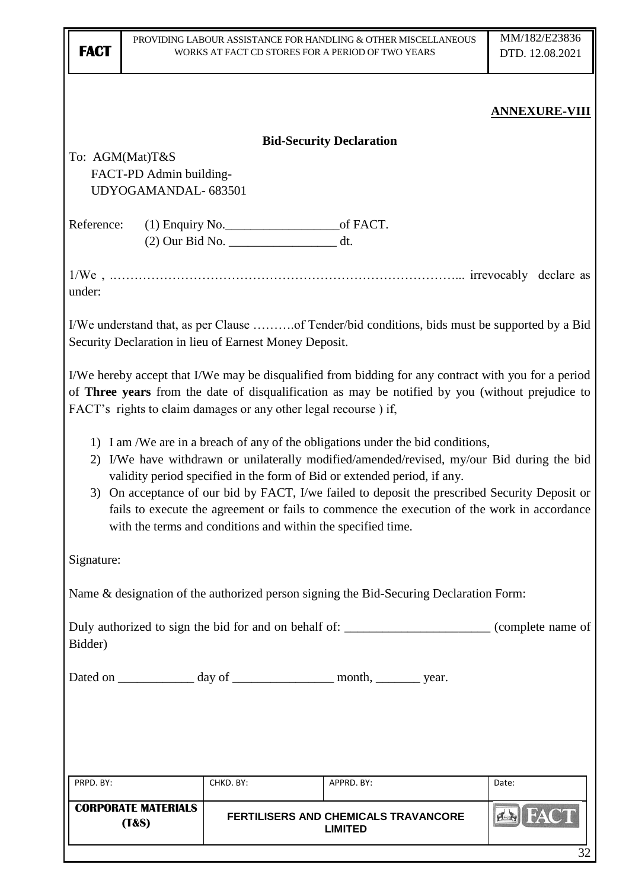| <b>FACT</b>     |                                                                                                                                                                                                                                                                             | WORKS AT FACT CD STORES FOR A PERIOD OF TWO YEARS            | PROVIDING LABOUR ASSISTANCE FOR HANDLING & OTHER MISCELLANEOUS                                                                                                                                                                                                                                                                                                                                                                                             | MM/182/E23836<br>DTD. 12.08.2021 |  |  |  |
|-----------------|-----------------------------------------------------------------------------------------------------------------------------------------------------------------------------------------------------------------------------------------------------------------------------|--------------------------------------------------------------|------------------------------------------------------------------------------------------------------------------------------------------------------------------------------------------------------------------------------------------------------------------------------------------------------------------------------------------------------------------------------------------------------------------------------------------------------------|----------------------------------|--|--|--|
|                 |                                                                                                                                                                                                                                                                             |                                                              |                                                                                                                                                                                                                                                                                                                                                                                                                                                            | <b>ANNEXURE-VIII</b>             |  |  |  |
|                 |                                                                                                                                                                                                                                                                             |                                                              | <b>Bid-Security Declaration</b>                                                                                                                                                                                                                                                                                                                                                                                                                            |                                  |  |  |  |
| To: AGM(Mat)T&S |                                                                                                                                                                                                                                                                             |                                                              |                                                                                                                                                                                                                                                                                                                                                                                                                                                            |                                  |  |  |  |
|                 | FACT-PD Admin building-                                                                                                                                                                                                                                                     |                                                              |                                                                                                                                                                                                                                                                                                                                                                                                                                                            |                                  |  |  |  |
|                 | UDYOGAMANDAL-683501                                                                                                                                                                                                                                                         |                                                              |                                                                                                                                                                                                                                                                                                                                                                                                                                                            |                                  |  |  |  |
|                 |                                                                                                                                                                                                                                                                             |                                                              |                                                                                                                                                                                                                                                                                                                                                                                                                                                            |                                  |  |  |  |
| Reference:      |                                                                                                                                                                                                                                                                             | (2) Our Bid No. __________________________ dt.               |                                                                                                                                                                                                                                                                                                                                                                                                                                                            |                                  |  |  |  |
|                 |                                                                                                                                                                                                                                                                             |                                                              |                                                                                                                                                                                                                                                                                                                                                                                                                                                            |                                  |  |  |  |
| under:          |                                                                                                                                                                                                                                                                             |                                                              |                                                                                                                                                                                                                                                                                                                                                                                                                                                            |                                  |  |  |  |
|                 |                                                                                                                                                                                                                                                                             | Security Declaration in lieu of Earnest Money Deposit.       | I/We understand that, as per Clause of Tender/bid conditions, bids must be supported by a Bid                                                                                                                                                                                                                                                                                                                                                              |                                  |  |  |  |
|                 | I/We hereby accept that I/We may be disqualified from bidding for any contract with you for a period<br>of Three years from the date of disqualification as may be notified by you (without prejudice to<br>FACT's rights to claim damages or any other legal recourse) if, |                                                              |                                                                                                                                                                                                                                                                                                                                                                                                                                                            |                                  |  |  |  |
|                 |                                                                                                                                                                                                                                                                             | with the terms and conditions and within the specified time. | 1) I am /We are in a breach of any of the obligations under the bid conditions,<br>2) I/We have withdrawn or unilaterally modified/amended/revised, my/our Bid during the bid<br>validity period specified in the form of Bid or extended period, if any.<br>3) On acceptance of our bid by FACT, I/we failed to deposit the prescribed Security Deposit or<br>fails to execute the agreement or fails to commence the execution of the work in accordance |                                  |  |  |  |
| Signature:      |                                                                                                                                                                                                                                                                             |                                                              |                                                                                                                                                                                                                                                                                                                                                                                                                                                            |                                  |  |  |  |
|                 |                                                                                                                                                                                                                                                                             |                                                              | Name & designation of the authorized person signing the Bid-Securing Declaration Form:                                                                                                                                                                                                                                                                                                                                                                     |                                  |  |  |  |
| Bidder)         |                                                                                                                                                                                                                                                                             |                                                              | Duly authorized to sign the bid for and on behalf of: __________________________ (complete name of                                                                                                                                                                                                                                                                                                                                                         |                                  |  |  |  |
|                 |                                                                                                                                                                                                                                                                             |                                                              | Dated on ______________ day of _____________________ month, __________ year.                                                                                                                                                                                                                                                                                                                                                                               |                                  |  |  |  |
|                 |                                                                                                                                                                                                                                                                             |                                                              |                                                                                                                                                                                                                                                                                                                                                                                                                                                            |                                  |  |  |  |
| PRPD. BY:       |                                                                                                                                                                                                                                                                             | CHKD. BY:                                                    | APPRD. BY:                                                                                                                                                                                                                                                                                                                                                                                                                                                 | Date:                            |  |  |  |
|                 | <b>CORPORATE MATERIALS</b><br>(T&s)                                                                                                                                                                                                                                         |                                                              | FERTILISERS AND CHEMICALS TRAVANCORE<br><b>LIMITED</b>                                                                                                                                                                                                                                                                                                                                                                                                     |                                  |  |  |  |
|                 |                                                                                                                                                                                                                                                                             |                                                              |                                                                                                                                                                                                                                                                                                                                                                                                                                                            | 32                               |  |  |  |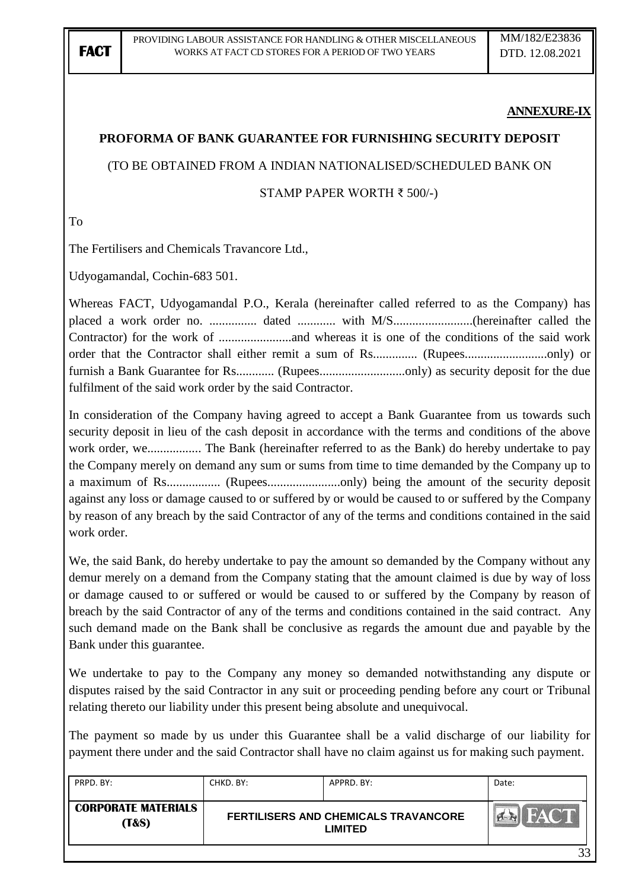### **ANNEXURE-IX**

### **PROFORMA OF BANK GUARANTEE FOR FURNISHING SECURITY DEPOSIT**

### (TO BE OBTAINED FROM A INDIAN NATIONALISED/SCHEDULED BANK ON

#### STAMP PAPER WORTH ₹ 500/-)

To

The Fertilisers and Chemicals Travancore Ltd.,

Udyogamandal, Cochin-683 501.

Whereas FACT, Udyogamandal P.O., Kerala (hereinafter called referred to as the Company) has placed a work order no. ............... dated ............ with M/S.........................(hereinafter called the Contractor) for the work of .......................and whereas it is one of the conditions of the said work order that the Contractor shall either remit a sum of Rs.............. (Rupees..........................only) or furnish a Bank Guarantee for Rs............ (Rupees..............................only) as security deposit for the due fulfilment of the said work order by the said Contractor.

In consideration of the Company having agreed to accept a Bank Guarantee from us towards such security deposit in lieu of the cash deposit in accordance with the terms and conditions of the above work order, we................. The Bank (hereinafter referred to as the Bank) do hereby undertake to pay the Company merely on demand any sum or sums from time to time demanded by the Company up to a maximum of Rs................. (Rupees.......................only) being the amount of the security deposit against any loss or damage caused to or suffered by or would be caused to or suffered by the Company by reason of any breach by the said Contractor of any of the terms and conditions contained in the said work order.

We, the said Bank, do hereby undertake to pay the amount so demanded by the Company without any demur merely on a demand from the Company stating that the amount claimed is due by way of loss or damage caused to or suffered or would be caused to or suffered by the Company by reason of breach by the said Contractor of any of the terms and conditions contained in the said contract. Any such demand made on the Bank shall be conclusive as regards the amount due and payable by the Bank under this guarantee.

We undertake to pay to the Company any money so demanded notwithstanding any dispute or disputes raised by the said Contractor in any suit or proceeding pending before any court or Tribunal relating thereto our liability under this present being absolute and unequivocal.

The payment so made by us under this Guarantee shall be a valid discharge of our liability for payment there under and the said Contractor shall have no claim against us for making such payment.

| PRPD. BY:                                      | CHKD. BY:                                                     | APPRD, BY: | Date: |
|------------------------------------------------|---------------------------------------------------------------|------------|-------|
| <b>CORPORATE MATERIALS</b><br><b>(T&amp;S)</b> | <b>FERTILISERS AND CHEMICALS TRAVANCORE</b><br><b>LIMITED</b> |            |       |
|                                                |                                                               |            | 33    |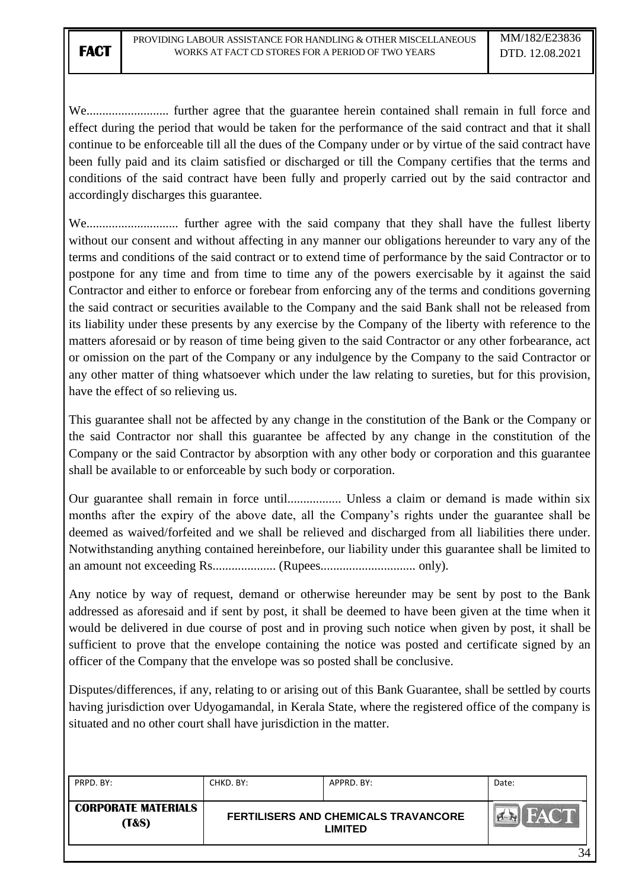We.......................... further agree that the guarantee herein contained shall remain in full force and effect during the period that would be taken for the performance of the said contract and that it shall continue to be enforceable till all the dues of the Company under or by virtue of the said contract have been fully paid and its claim satisfied or discharged or till the Company certifies that the terms and conditions of the said contract have been fully and properly carried out by the said contractor and accordingly discharges this guarantee.

We............................. further agree with the said company that they shall have the fullest liberty without our consent and without affecting in any manner our obligations hereunder to vary any of the terms and conditions of the said contract or to extend time of performance by the said Contractor or to postpone for any time and from time to time any of the powers exercisable by it against the said Contractor and either to enforce or forebear from enforcing any of the terms and conditions governing the said contract or securities available to the Company and the said Bank shall not be released from its liability under these presents by any exercise by the Company of the liberty with reference to the matters aforesaid or by reason of time being given to the said Contractor or any other forbearance, act or omission on the part of the Company or any indulgence by the Company to the said Contractor or any other matter of thing whatsoever which under the law relating to sureties, but for this provision, have the effect of so relieving us.

This guarantee shall not be affected by any change in the constitution of the Bank or the Company or the said Contractor nor shall this guarantee be affected by any change in the constitution of the Company or the said Contractor by absorption with any other body or corporation and this guarantee shall be available to or enforceable by such body or corporation.

Our guarantee shall remain in force until................. Unless a claim or demand is made within six months after the expiry of the above date, all the Company"s rights under the guarantee shall be deemed as waived/forfeited and we shall be relieved and discharged from all liabilities there under. Notwithstanding anything contained hereinbefore, our liability under this guarantee shall be limited to an amount not exceeding Rs.................... (Rupees.............................. only).

Any notice by way of request, demand or otherwise hereunder may be sent by post to the Bank addressed as aforesaid and if sent by post, it shall be deemed to have been given at the time when it would be delivered in due course of post and in proving such notice when given by post, it shall be sufficient to prove that the envelope containing the notice was posted and certificate signed by an officer of the Company that the envelope was so posted shall be conclusive.

Disputes/differences, if any, relating to or arising out of this Bank Guarantee, shall be settled by courts having jurisdiction over Udyogamandal, in Kerala State, where the registered office of the company is situated and no other court shall have jurisdiction in the matter.

| PRPD. BY:                           | CHKD. BY:                                                     | APPRD. BY: | Date:       |
|-------------------------------------|---------------------------------------------------------------|------------|-------------|
| <b>CORPORATE MATERIALS</b><br>(T&S) | <b>FERTILISERS AND CHEMICALS TRAVANCORE</b><br><b>LIMITED</b> |            | <b>FACT</b> |
|                                     |                                                               |            | 34          |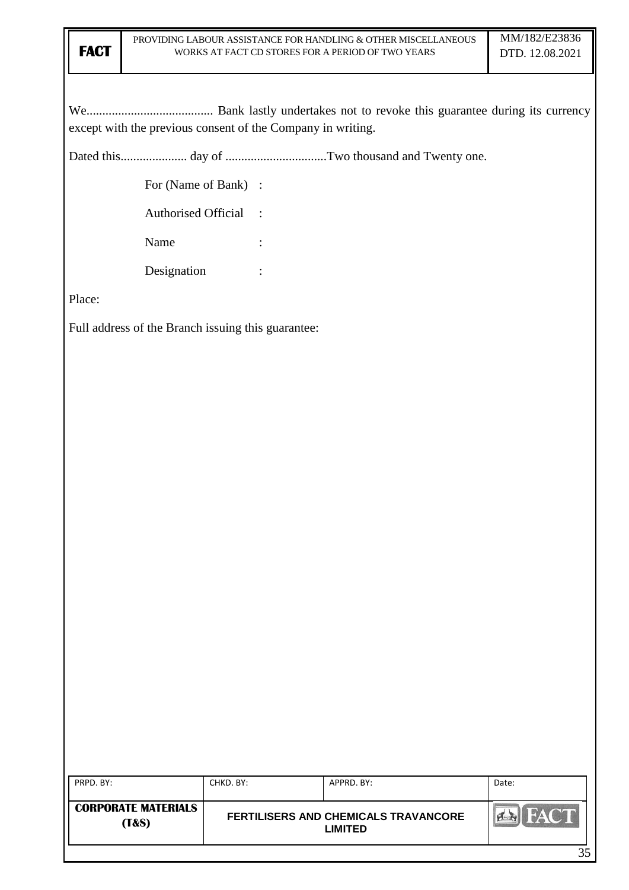We........................................ Bank lastly undertakes not to revoke this guarantee during its currency except with the previous consent of the Company in writing.

Dated this..................... day of ................................Two thousand and Twenty one.

For (Name of Bank) :

Authorised Official :

Name :

Designation :

Place:

Full address of the Branch issuing this guarantee:

| PRPD. BY:                                      | CHKD. BY:                                              | APPRD. BY: | Date: |
|------------------------------------------------|--------------------------------------------------------|------------|-------|
| <b>CORPORATE MATERIALS</b><br><b>(T&amp;S)</b> | FERTILISERS AND CHEMICALS TRAVANCORE<br><b>LIMITED</b> |            |       |
|                                                |                                                        |            |       |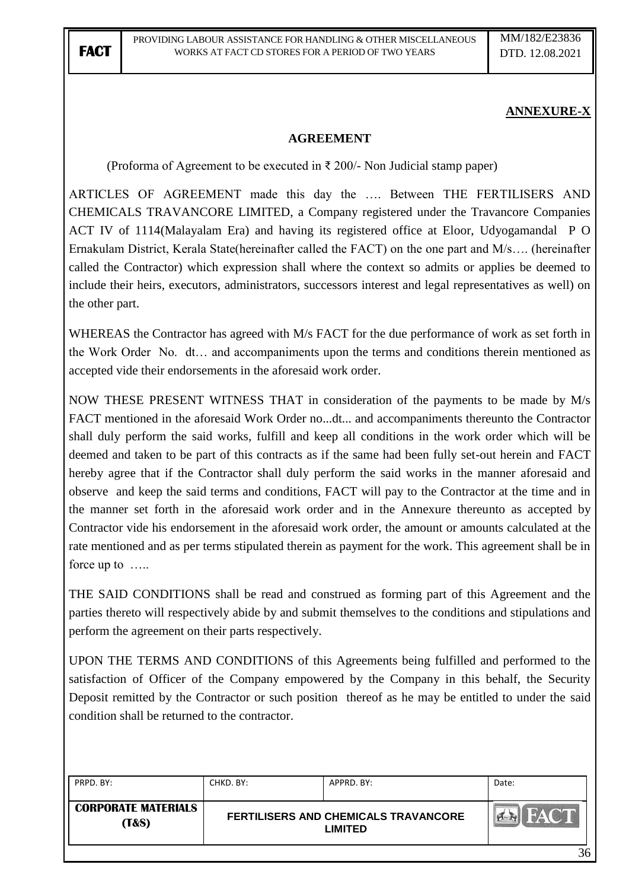## **ANNEXURE-X**

### **AGREEMENT**

(Proforma of Agreement to be executed in  $\bar{\tau}$  200/- Non Judicial stamp paper)

ARTICLES OF AGREEMENT made this day the …. Between THE FERTILISERS AND CHEMICALS TRAVANCORE LIMITED, a Company registered under the Travancore Companies ACT IV of 1114(Malayalam Era) and having its registered office at Eloor, Udyogamandal P O Ernakulam District, Kerala State(hereinafter called the FACT) on the one part and M/s…. (hereinafter called the Contractor) which expression shall where the context so admits or applies be deemed to include their heirs, executors, administrators, successors interest and legal representatives as well) on the other part.

WHEREAS the Contractor has agreed with M/s FACT for the due performance of work as set forth in the Work Order No. dt… and accompaniments upon the terms and conditions therein mentioned as accepted vide their endorsements in the aforesaid work order.

NOW THESE PRESENT WITNESS THAT in consideration of the payments to be made by M/s FACT mentioned in the aforesaid Work Order no...dt... and accompaniments thereunto the Contractor shall duly perform the said works, fulfill and keep all conditions in the work order which will be deemed and taken to be part of this contracts as if the same had been fully set-out herein and FACT hereby agree that if the Contractor shall duly perform the said works in the manner aforesaid and observe and keep the said terms and conditions, FACT will pay to the Contractor at the time and in the manner set forth in the aforesaid work order and in the Annexure thereunto as accepted by Contractor vide his endorsement in the aforesaid work order, the amount or amounts calculated at the rate mentioned and as per terms stipulated therein as payment for the work. This agreement shall be in force up to …..

THE SAID CONDITIONS shall be read and construed as forming part of this Agreement and the parties thereto will respectively abide by and submit themselves to the conditions and stipulations and perform the agreement on their parts respectively.

UPON THE TERMS AND CONDITIONS of this Agreements being fulfilled and performed to the satisfaction of Officer of the Company empowered by the Company in this behalf, the Security Deposit remitted by the Contractor or such position thereof as he may be entitled to under the said condition shall be returned to the contractor.

| PRPD. BY:                                      | CHKD. BY: | APPRD. BY:                                                    | Date:       |
|------------------------------------------------|-----------|---------------------------------------------------------------|-------------|
| <b>CORPORATE MATERIALS</b><br><b>(T&amp;S)</b> |           | <b>FERTILISERS AND CHEMICALS TRAVANCORE</b><br><b>LIMITED</b> | <b>FACT</b> |
|                                                |           |                                                               | 36          |